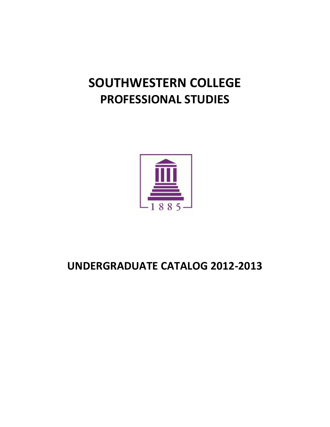# **SOUTHWESTERN COLLEGE PROFESSIONAL STUDIES**



## **UNDERGRADUATE CATALOG 2012-2013**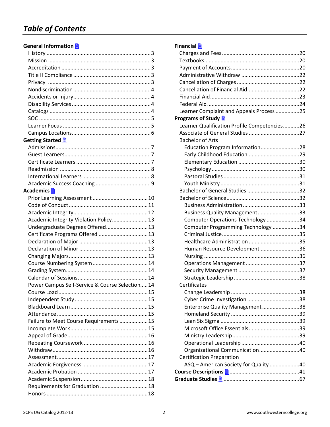## *Table of Contents*

#### **General Information**

| Getting Started <u>A</u>                       |  |
|------------------------------------------------|--|
|                                                |  |
|                                                |  |
|                                                |  |
|                                                |  |
|                                                |  |
|                                                |  |
| Academics <mark>■</mark>                       |  |
|                                                |  |
|                                                |  |
|                                                |  |
| Academic Integrity Violation Policy 13         |  |
| Undergraduate Degrees Offered 13               |  |
| Certificate Programs Offered  13               |  |
|                                                |  |
|                                                |  |
|                                                |  |
|                                                |  |
|                                                |  |
|                                                |  |
| Power Campus Self-Service & Course Selection14 |  |
| Course Load                                    |  |
|                                                |  |
|                                                |  |
|                                                |  |
| Failure to Meet Course Requirements  15        |  |
|                                                |  |
|                                                |  |
|                                                |  |
|                                                |  |
|                                                |  |
|                                                |  |
|                                                |  |
|                                                |  |
| Requirements for Graduation  18                |  |
|                                                |  |
|                                                |  |

## **Financial**

| Learner Complaint and Appeals Process 25     |  |
|----------------------------------------------|--|
| Programs of Study <b>A</b>                   |  |
| Learner Qualification Profile Competencies26 |  |
|                                              |  |
| <b>Bachelor of Arts</b>                      |  |
| Education Program Information28              |  |
|                                              |  |
|                                              |  |
|                                              |  |
|                                              |  |
|                                              |  |
|                                              |  |
|                                              |  |
|                                              |  |
| Business Quality Management33                |  |
| Computer Operations Technology 34            |  |
| Computer Programming Technology 34           |  |
|                                              |  |
|                                              |  |
| Human Resource Development 36                |  |
|                                              |  |
|                                              |  |
|                                              |  |
|                                              |  |
| Certificates                                 |  |
|                                              |  |
|                                              |  |
| Enterprise Quality Management38              |  |
|                                              |  |
|                                              |  |
|                                              |  |
|                                              |  |
|                                              |  |
| Organizational Communication40               |  |
| <b>Certification Preparation</b>             |  |
| ASQ - American Society for Quality 40        |  |
|                                              |  |
|                                              |  |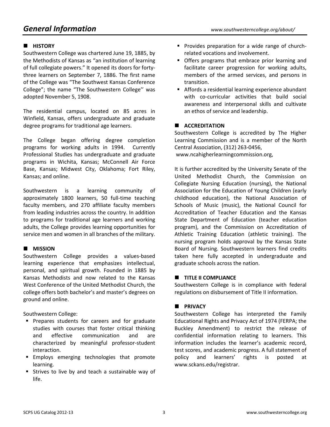## *General Information www.southwesterncollege.org/about/*

## $\blacksquare$  **HISTORY**

Southwestern College was chartered June 19, 1885, by the Methodists of Kansas as "an institution of learning of full collegiate powers." It opened its doors for fortythree learners on September 7, 1886. The first name of the College was "The Southwest Kansas Conference College"; the name "The Southwestern College'' was adopted November 5, 1908.

The residential campus, located on 85 acres in Winfield, Kansas, offers undergraduate and graduate degree programs for traditional age learners.

The College began offering degree completion programs for working adults in 1994. Currently Professional Studies has undergraduate and graduate programs in Wichita, Kansas; McConnell Air Force Base, Kansas; Midwest City, Oklahoma; Fort Riley, Kansas; and online.

Southwestern is a learning community of approximately 1800 learners, 50 full-time teaching faculty members, and 270 affiliate faculty members from leading industries across the country. In addition to programs for traditional age learners and working adults, the College provides learning opportunities for service men and women in all branches of the military.

### $\blacksquare$  MISSION

Southwestern College provides a values-based learning experience that emphasizes intellectual, personal, and spiritual growth. Founded in 1885 by Kansas Methodists and now related to the Kansas West Conference of the United Methodist Church, the college offers both bachelor's and master's degrees on ground and online.

Southwestern College:

- **Prepares students for careers and for graduate** studies with courses that foster critical thinking and effective communication and are characterized by meaningful professor-student interaction.
- **Employs emerging technologies that promote** learning.
- **Strives to live by and teach a sustainable way of** life.
- **Provides preparation for a wide range of church**related vocations and involvement.
- **Offers programs that embrace prior learning and** facilitate career progression for working adults, members of the armed services, and persons in transition.
- Affords a residential learning experience abundant with co-curricular activities that build social awareness and interpersonal skills and cultivate an ethos of service and leadership.

#### **E** ACCREDITATION

Southwestern College is accredited by The Higher Learning Commission and is a member of the North Central Association, (312) 263-0456, www.ncahigherlearningcommission.org,

It is further accredited by the University Senate of the United Methodist Church, the Commission on Collegiate Nursing Education (nursing), the National Association for the Education of Young Children (early childhood education), the National Association of Schools of Music (music), the National Council for Accreditation of Teacher Education and the Kansas State Department of Education (teacher education program), and the Commission on Accreditation of Athletic Training Education (athletic training). The nursing program holds approval by the Kansas State Board of Nursing. Southwestern learners find credits taken here fully accepted in undergraduate and graduate schools across the nation.

#### **TITLE II COMPLIANCE**

Southwestern College is in compliance with federal regulations on disbursement of Title II information.

#### **B** PRIVACY

Southwestern College has interpreted the Family Educational Rights and Privacy Act of 1974 (FERPA; the Buckley Amendment) to restrict the release of confidential information relating to learners. This information includes the learner's academic record, test scores, and academic progress. A full statement of policy and learners' rights is posted at www.sckans.edu/registrar.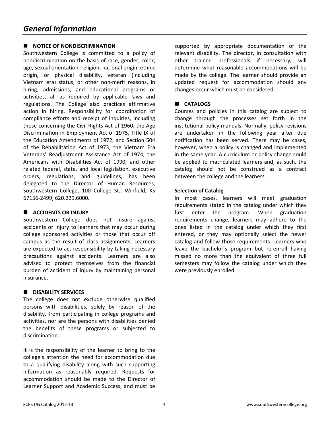## **NOTICE OF NONDISCRIMINATION**

Southwestern College is committed to a policy of nondiscrimination on the basis of race, gender, color, age, sexual orientation, religion, national origin, ethnic origin, or physical disability, veteran (including Vietnam era) status, or other non-merit reasons, in hiring, admissions, and educational programs or activities, all as required by applicable laws and regulations. The College also practices affirmative action in hiring. Responsibility for coordination of compliance efforts and receipt of inquiries, including those concerning the Civil Rights Act of 1960, the Age Discrimination in Employment Act of 1975, Title IX of the Education Amendments of 1972, and Section 504 of the Rehabilitation Act of 1973, the Vietnam Era Veterans' Readjustment Assistance Act of 1974, the Americans with Disabilities Act of 1990, and other related federal, state, and local legislation, executive orders, regulations, and guidelines, has been delegated to the Director of Human Resources, Southwestern College, 100 College St., Winfield, KS 67156-2499, 620.229.6000.

#### **E** ACCIDENTS OR INJURY

Southwestern College does not insure against accidents or injury to learners that may occur during college sponsored activities or those that occur off campus as the result of class assignments. Learners are expected to act responsibility by taking necessary precautions against accidents. Learners are also advised to protect themselves from the financial burden of accident of injury by maintaining personal insurance.

#### **B** DISABILITY SERVICES

The college does not exclude otherwise qualified persons with disabilities, solely by reason of the disability, from participating in college programs and activities, nor are the persons with disabilities denied the benefits of these programs or subjected to discrimination.

It is the responsibility of the learner to bring to the college's attention the need for accommodation due to a qualifying disability along with such supporting information as reasonably required. Requests for accommodation should be made to the Director of Learner Support and Academic Success, and must be supported by appropriate documentation of the relevant disability. The director, in consultation with other trained professionals if necessary, will determine what reasonable accommodations will be made by the college. The learner should provide an updated request for accommodation should any changes occur which must be considered.

## **E** CATALOGS

Courses and policies in this catalog are subject to change through the processes set forth in the institutional policy manuals. Normally, policy revisions are undertaken in the following year after due notification has been served. There may be cases, however, when a policy is changed and implemented in the same year. A curriculum or policy change could be applied to matriculated learners and, as such, the catalog should not be construed as a contract between the college and the learners.

#### **Selection of Catalog**

In most cases, learners will meet graduation requirements stated in the catalog under which they first enter the program. When graduation requirements change, learners may adhere to the ones listed in the catalog under which they first entered, or they may optionally select the newer catalog and follow those requirements. Learners who leave the bachelor's program but re-enroll having missed no more than the equivalent of three full semesters may follow the catalog under which they were previously enrolled.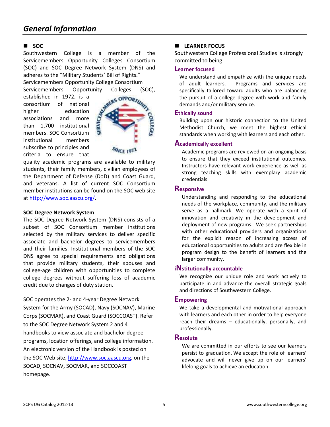### - **SOC**

Southwestern College is a member of the Servicemembers Opportunity Colleges Consortium (SOC) and SOC Degree Network System (DNS) and adheres to the "Military Students' Bill of Rights." Servicemembers Opportunity College Consortium

Servicemembers Opportunity Colleges (SOC), established in 1972, is a<br>consortium of national services opportune higher established in 1972, is a consortium of national higher education associations and more than 1,700 institutional members. SOC Consortium institutional members subscribe to principles and criteria to ensure that



SINCE 1911

quality academic programs are available to military students, their family members, civilian employees of the Department of Defense (DoD) and Coast Guard, and veterans. A list of current SOC Consortium member institutions can be found on the SOC web site at http://www.soc.aascu.org/.

#### **SOC Degree Network System**

The SOC Degree Network System (DNS) consists of a subset of SOC Consortium member institutions selected by the military services to deliver specific associate and bachelor degrees to servicemembers and their families. Institutional members of the SOC DNS agree to special requirements and obligations that provide military students, their spouses and college-age children with opportunities to complete college degrees without suffering loss of academic credit due to changes of duty station.

SOC operates the 2- and 4-year Degree Network System for the Army (SOCAD), Navy (SOCNAV), Marine Corps (SOCMAR), and Coast Guard (SOCCOAST). Refer to the SOC Degree Network System 2 and 4 handbooks to view associate and bachelor degree programs, location offerings, and college information. An electronic version of the Handbook is posted on the SOC Web site, http://www.soc.aascu.org, on the SOCAD, SOCNAV, SOCMAR, and SOCCOAST homepage.

## **E** LEARNER FOCUS

Southwestern College Professional Studies is strongly committed to being:

#### **Learner focused**

We understand and empathize with the unique needs of adult learners. Programs and services are specifically tailored toward adults who are balancing the pursuit of a college degree with work and family demands and/or military service.

#### **Ethically sound**

Building upon our historic connection to the United Methodist Church, we meet the highest ethical standards when working with learners and each other.

#### **Academically excellent**

Academic programs are reviewed on an ongoing basis to ensure that they exceed institutional outcomes. Instructors have relevant work experience as well as strong teaching skills with exemplary academic credentials.

#### **Responsive**

Understanding and responding to the educational needs of the workplace, community, and the military serve as a hallmark. We operate with a spirit of innovation and creativity in the development and deployment of new programs. We seek partnerships with other educational providers and organizations for the explicit reason of increasing access of educational opportunities to adults and are flexible in program design to the benefit of learners and the larger community.

#### **<sup>i</sup>Nstitutionally accountable**

We recognize our unique role and work actively to participate in and advance the overall strategic goals and directions of Southwestern College.

#### **Empowering**

We take a developmental and motivational approach with learners and each other in order to help everyone reach their dreams – educationally, personally, and professionally.

#### **Resolute**

We are committed in our efforts to see our learners persist to graduation. We accept the role of learners' advocate and will never give up on our learners' lifelong goals to achieve an education.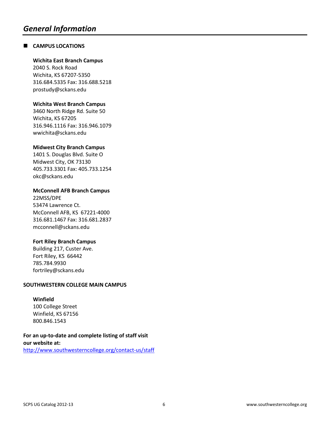## **E** CAMPUS LOCATIONS

#### **Wichita East Branch Campus**

2040 S. Rock Road Wichita, KS 67207-5350 316.684.5335 Fax: 316.688.5218 prostudy@sckans.edu

#### **Wichita West Branch Campus**

3460 North Ridge Rd. Suite 50 Wichita, KS 67205 316.946.1116 Fax: 316.946.1079 wwichita@sckans.edu

#### **Midwest City Branch Campus**

1401 S. Douglas Blvd. Suite O Midwest City, OK 73130 405.733.3301 Fax: 405.733.1254 okc@sckans.edu

#### **McConnell AFB Branch Campus**

22MSS/DPE 53474 Lawrence Ct. McConnell AFB, KS 67221-4000 316.681.1467 Fax: 316.681.2837 mcconnell@sckans.edu

#### **Fort Riley Branch Campus**

Building 217, Custer Ave. Fort Riley, KS 66442 785.784.9930 fortriley@sckans.edu

#### **SOUTHWESTERN COLLEGE MAIN CAMPUS**

#### **Winfield**

100 College Street Winfield, KS 67156 800.846.1543

**For an up-to-date and complete listing of staff visit our website at:** 

http://www.southwesterncollege.org/contact-us/staff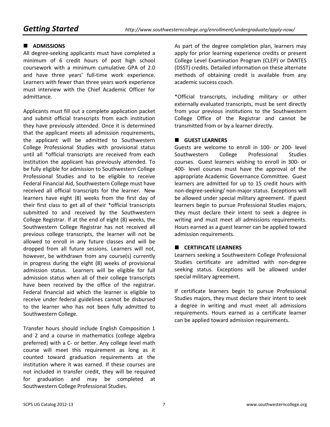## $\blacksquare$  ADMISSIONS

All degree-seeking applicants must have completed a minimum of 6 credit hours of post high school coursework with a minimum cumulative GPA of 2.0 and have three years' full-time work experience. Learners with fewer than three years work experience must interview with the Chief Academic Officer for admittance.

Applicants must fill out a complete application packet and submit official transcripts from each institution they have previously attended. Once it is determined that the applicant meets all admission requirements, the applicant will be admitted to Southwestern College Professional Studies with provisional status until all \*official transcripts are received from each institution the applicant has previously attended. To be fully eligible for admission to Southwestern College Professional Studies and to be eligible to receive Federal Financial Aid, Southwestern College must have received all official transcripts for the learner. New learners have eight (8) weeks from the first day of their first class to get all of their \*official transcripts submitted to and received by the Southwestern College Registrar. If at the end of eight (8) weeks, the Southwestern College Registrar has not received all previous college transcripts, the learner will not be allowed to enroll in any future classes and will be dropped from all future sessions. Learners will not, however, be withdrawn from any course(s) currently in progress during the eight (8) weeks of provisional admission status. Learners will be eligible for full admission status when all of their college transcripts have been received by the office of the registrar. Federal financial aid which the learner is eligible to receive under federal guidelines cannot be disbursed to the learner who has not been fully admitted to Southwestern College.

Transfer hours should include English Composition 1 and 2 and a course in mathematics (college algebra preferred) with a C- or better. Any college level math course will meet this requirement as long as it counted toward graduation requirements at the institution where it was earned. If these courses are not included in transfer credit, they will be required for graduation and may be completed at Southwestern College Professional Studies.

As part of the degree completion plan, learners may apply for prior learning experience credits or present College Level Examination Program (CLEP) or DANTES (DSST) credits. Detailed information on these alternate methods of obtaining credit is available from any academic success coach.

\*Official transcripts, including military or other externally evaluated transcripts, must be sent directly from your previous institutions to the Southwestern College Office of the Registrar and cannot be transmitted from or by a learner directly.

#### $\blacksquare$  GUEST LEARNERS

Guests are welcome to enroll in 100- or 200- level Southwestern College Professional Studies courses. Guest learners wishing to enroll in 300- or 400- level courses must have the approval of the appropriate Academic Governance Committee. Guest learners are admitted for up to 15 credit hours with non-degree-seeking/ non-major status. Exceptions will be allowed under special military agreement. If guest learners begin to pursue Professional Studies majors, they must declare their intent to seek a degree in writing and must meet all admissions requirements. Hours earned as a guest learner can be applied toward admission requirements.

#### **E** CERTIFICATE LEARNERS

Learners seeking a Southwestern College Professional Studies certificate are admitted with non-degree seeking status. Exceptions will be allowed under special military agreement.

If certificate learners begin to pursue Professional Studies majors, they must declare their intent to seek a degree in writing and must meet all admissions requirements. Hours earned as a certificate learner can be applied toward admission requirements.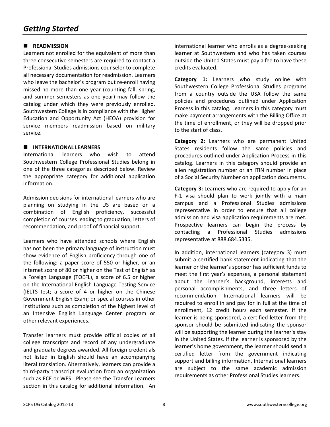## **READMISSION**

Learners not enrolled for the equivalent of more than three consecutive semesters are required to contact a Professional Studies admissions counselor to complete all necessary documentation for readmission. Learners who leave the bachelor's program but re-enroll having missed no more than one year (counting fall, spring, and summer semesters as one year) may follow the catalog under which they were previously enrolled. Southwestern College is in compliance with the Higher Education and Opportunity Act (HEOA) provision for service members readmission based on military service.

#### $\blacksquare$  INTERNATIONAL LEARNERS

International learners who wish to attend Southwestern College Professional Studies belong in one of the three categories described below. Review the appropriate category for additional application information.

Admission decisions for international learners who are planning on studying in the US are based on a combination of English proficiency, successful completion of courses leading to graduation, letters of recommendation, and proof of financial support.

Learners who have attended schools where English has not been the primary language of instruction must show evidence of English proficiency through one of the following: a paper score of 550 or higher, or an internet score of 80 or higher on the Test of English as a Foreign Language (TOEFL), a score of 6.5 or higher on the International English Language Testing Service (IELTS test; a score of 4 or higher on the Chinese Government English Exam; or special courses in other institutions such as completion of the highest level of an Intensive English Language Center program or other relevant experiences.

Transfer learners must provide official copies of all college transcripts and record of any undergraduate and graduate degrees awarded. All foreign credentials not listed in English should have an accompanying literal translation. Alternatively, learners can provide a third-party transcript evaluation from an organization such as ECE or WES. Please see the Transfer Learners section in this catalog for additional information. An international learner who enrolls as a degree-seeking learner at Southwestern and who has taken courses outside the United States must pay a fee to have these credits evaluated.

**Category 1:** Learners who study online with Southwestern College Professional Studies programs from a country outside the USA follow the same policies and procedures outlined under Application Process in this catalog. Learners in this category must make payment arrangements with the Billing Office at the time of enrollment, or they will be dropped prior to the start of class.

**Category 2:** Learners who are permanent United States residents follow the same policies and procedures outlined under Application Process in this catalog. Learners in this category should provide an alien registration number or an ITIN number in place of a Social Security Number on application documents.

**Category 3:** Learners who are required to apply for an F-1 visa should plan to work jointly with a main campus and a Professional Studies admissions representative in order to ensure that all college admission and visa application requirements are met. Prospective learners can begin the process by contacting a Professional Studies admissions representative at 888.684.5335.

In addition, international learners (category 3) must submit a certified bank statement indicating that the learner or the learner's sponsor has sufficient funds to meet the first year's expenses, a personal statement about the learner's background, interests and personal accomplishments, and three letters of recommendation. International learners will be required to enroll in and pay for in full at the time of enrollment, 12 credit hours each semester. If the learner is being sponsored, a certified letter from the sponsor should be submitted indicating the sponsor will be supporting the learner during the learner's stay in the United States. If the learner is sponsored by the learner's home government, the learner should send a certified letter from the government indicating support and billing information. International learners are subject to the same academic admission requirements as other Professional Studies learners.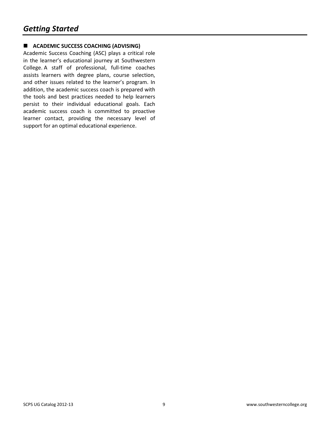## **E** ACADEMIC SUCCESS COACHING (ADVISING)

Academic Success Coaching (ASC) plays a critical role in the learner's educational journey at Southwestern College. A staff of professional, full-time coaches assists learners with degree plans, course selection, and other issues related to the learner's program. In addition, the academic success coach is prepared with the tools and best practices needed to help learners persist to their individual educational goals. Each academic success coach is committed to proactive learner contact, providing the necessary level of support for an optimal educational experience.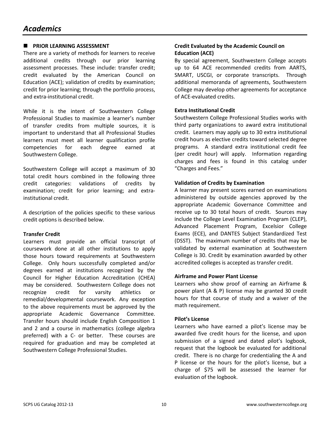## **E** PRIOR LEARNING ASSESSMENT

There are a variety of methods for learners to receive additional credits through our prior learning assessment processes. These include: transfer credit; credit evaluated by the American Council on Education (ACE); validation of credits by examination; credit for prior learning; through the portfolio process, and extra-institutional credit.

While it is the intent of Southwestern College Professional Studies to maximize a learner's number of transfer credits from multiple sources, it is important to understand that all Professional Studies learners must meet all learner qualification profile competencies for each degree earned at Southwestern College.

Southwestern College will accept a maximum of 30 total credit hours combined in the following three credit categories: validations of credits by examination; credit for prior learning; and extrainstitutional credit.

A description of the policies specific to these various credit options is described below.

#### **Transfer Credit**

Learners must provide an official transcript of coursework done at all other institutions to apply those hours toward requirements at Southwestern College. Only hours successfully completed and/or degrees earned at institutions recognized by the Council for Higher Education Accreditation (CHEA) may be considered. Southwestern College does not recognize credit for varsity athletics or remedial/developmental coursework. Any exception to the above requirements must be approved by the appropriate Academic Governance Committee. Transfer hours should include English Composition 1 and 2 and a course in mathematics (college algebra preferred) with a C- or better. These courses are required for graduation and may be completed at Southwestern College Professional Studies.

#### **Credit Evaluated by the Academic Council on Education (ACE)**

By special agreement, Southwestern College accepts up to 64 ACE recommended credits from AARTS, SMART, USCGI, or corporate transcripts. Through additional memoranda of agreements, Southwestern College may develop other agreements for acceptance of ACE-evaluated credits.

#### **Extra Institutional Credit**

Southwestern College Professional Studies works with third party organizations to award extra institutional credit. Learners may apply up to 30 extra institutional credit hours as elective credits toward selected degree programs. A standard extra institutional credit fee (per credit hour) will apply. Information regarding charges and fees is found in this catalog under "Charges and Fees."

#### **Validation of Credits by Examination**

A learner may present scores earned on examinations administered by outside agencies approved by the appropriate Academic Governance Committee and receive up to 30 total hours of credit. Sources may include the College Level Examination Program (CLEP), Advanced Placement Program, Excelsior College Exams (ECE), and DANTES Subject Standardized Test (DSST). The maximum number of credits that may be validated by external examination at Southwestern College is 30. Credit by examination awarded by other accredited colleges is accepted as transfer credit.

#### **Airframe and Power Plant License**

Learners who show proof of earning an Airframe & power plant (A & P) license may be granted 30 credit hours for that course of study and a waiver of the math requirement.

#### **Pilot's License**

Learners who have earned a pilot's license may be awarded five credit hours for the license, and upon submission of a signed and dated pilot's logbook, request that the logbook be evaluated for additional credit. There is no charge for credentialing the A and P license or the hours for the pilot's license, but a charge of \$75 will be assessed the learner for evaluation of the logbook.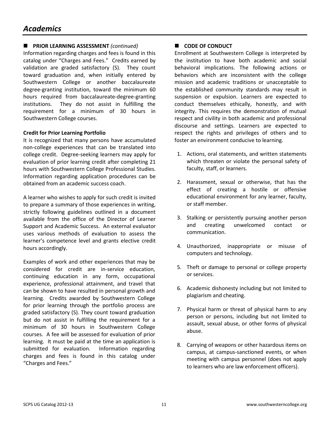## **E** PRIOR LEARNING ASSESSMENT *(continued)*

Information regarding charges and fees is found in this catalog under "Charges and Fees." Credits earned by validation are graded satisfactory (S). They count toward graduation and, when initially entered by Southwestern College or another baccalaureate degree-granting institution, toward the minimum 60 hours required from baccalaureate-degree-granting institutions. They do not assist in fulfilling the requirement for a minimum of 30 hours in Southwestern College courses.

#### **Credit for Prior Learning Portfolio**

It is recognized that many persons have accumulated non-college experiences that can be translated into college credit. Degree-seeking learners may apply for evaluation of prior learning credit after completing 21 hours with Southwestern College Professional Studies. Information regarding application procedures can be obtained from an academic success coach.

A learner who wishes to apply for such credit is invited to prepare a summary of those experiences in writing, strictly following guidelines outlined in a document available from the office of the Director of Learner Support and Academic Success. An external evaluator uses various methods of evaluation to assess the learner's competence level and grants elective credit hours accordingly.

Examples of work and other experiences that may be considered for credit are in-service education, continuing education in any form, occupational experience, professional attainment, and travel that can be shown to have resulted in personal growth and learning. Credits awarded by Southwestern College for prior learning through the portfolio process are graded satisfactory (S). They count toward graduation but do not assist in fulfilling the requirement for a minimum of 30 hours in Southwestern College courses. A fee will be assessed for evaluation of prior learning. It must be paid at the time an application is submitted for evaluation. Information regarding charges and fees is found in this catalog under "Charges and Fees."

## **CODE OF CONDUCT**

Enrollment at Southwestern College is interpreted by the institution to have both academic and social behavioral implications. The following actions or behaviors which are inconsistent with the college mission and academic traditions or unacceptable to the established community standards may result in suspension or expulsion. Learners are expected to conduct themselves ethically, honestly, and with integrity. This requires the demonstration of mutual respect and civility in both academic and professional discourse and settings. Learners are expected to respect the rights and privileges of others and to foster an environment conducive to learning.

- 1. Actions, oral statements, and written statements which threaten or violate the personal safety of faculty, staff, or learners.
- 2. Harassment, sexual or otherwise, that has the effect of creating a hostile or offensive educational environment for any learner, faculty, or staff member.
- 3. Stalking or persistently pursuing another person and creating unwelcomed contact or communication.
- 4. Unauthorized, inappropriate or misuse of computers and technology.
- 5. Theft or damage to personal or college property or services.
- 6. Academic dishonesty including but not limited to plagiarism and cheating.
- 7. Physical harm or threat of physical harm to any person or persons, including but not limited to assault, sexual abuse, or other forms of physical abuse.
- 8. Carrying of weapons or other hazardous items on campus, at campus-sanctioned events, or when meeting with campus personnel (does not apply to learners who are law enforcement officers).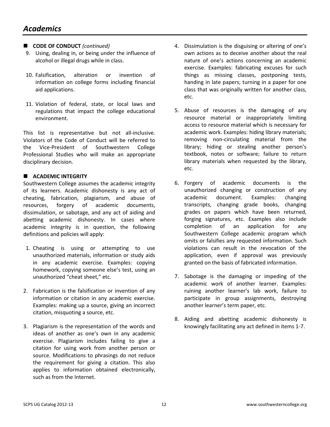- **CODE OF CONDUCT** (continued)
- 9. Using, dealing in, or being under the influence of alcohol or illegal drugs while in class.
- 10. Falsification, alteration or invention of information on college forms including financial aid applications.
- 11. Violation of federal, state, or local laws and regulations that impact the college educational environment.

This list is representative but not all-inclusive. Violators of the Code of Conduct will be referred to the Vice-President of Southwestern College Professional Studies who will make an appropriate disciplinary decision.

### **E** ACADEMIC INTEGRITY

Southwestern College assumes the academic integrity of its learners. Academic dishonesty is any act of cheating, fabrication, plagiarism, and abuse of resources, forgery of academic documents, dissimulation, or sabotage, and any act of aiding and abetting academic dishonesty. In cases where academic integrity is in question, the following definitions and policies will apply:

- 1. Cheating is using or attempting to use unauthorized materials, information or study aids in any academic exercise. Examples: copying homework, copying someone else's test, using an unauthorized "cheat sheet," etc.
- 2. Fabrication is the falsification or invention of any information or citation in any academic exercise. Examples: making up a source, giving an incorrect citation, misquoting a source, etc.
- 3. Plagiarism is the representation of the words and ideas of another as one's own in any academic exercise. Plagiarism includes failing to give a citation for using work from another person or source. Modifications to phrasings do not reduce the requirement for giving a citation. This also applies to information obtained electronically, such as from the Internet.
- 4. Dissimulation is the disguising or altering of one's own actions as to deceive another about the real nature of one's actions concerning an academic exercise. Examples: fabricating excuses for such things as missing classes, postponing tests, handing in late papers; turning in a paper for one class that was originally written for another class, etc.
- 5. Abuse of resources is the damaging of any resource material or inappropriately limiting access to resource material which is necessary for academic work. Examples: hiding library materials; removing non-circulating material from the library; hiding or stealing another person's textbook, notes or software; failure to return library materials when requested by the library, etc.
- 6. Forgery of academic documents is the unauthorized changing or construction of any academic document. Examples: changing transcripts, changing grade books, changing grades on papers which have been returned, forging signatures, etc. Examples also include completion of an application for any Southwestern College academic program which omits or falsifies any requested information. Such violations can result in the revocation of the application, even if approval was previously granted on the basis of fabricated information.
- 7. Sabotage is the damaging or impeding of the academic work of another learner. Examples: ruining another learner's lab work, failure to participate in group assignments, destroying another learner's term paper, etc.
- 8. Aiding and abetting academic dishonesty is knowingly facilitating any act defined in items 1-7.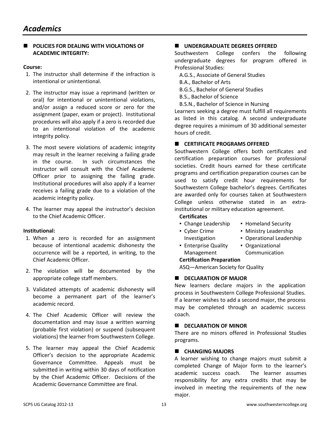#### **POLICIES FOR DEALING WITH VIOLATIONS OF ACADEMIC INTEGRITY:**

#### **Course:**

- 1. The instructor shall determine if the infraction is intentional or unintentional.
- 2. The instructor may issue a reprimand (written or oral) for intentional or unintentional violations, and/or assign a reduced score or zero for the assignment (paper, exam or project). Institutional procedures will also apply if a zero is recorded due to an intentional violation of the academic integrity policy.
- 3. The most severe violations of academic integrity may result in the learner receiving a failing grade in the course. In such circumstances the instructor will consult with the Chief Academic Officer prior to assigning the failing grade. Institutional procedures will also apply if a learner receives a failing grade due to a violation of the academic integrity policy.
- 4. The learner may appeal the instructor's decision to the Chief Academic Officer.

#### **Institutional:**

- 1. When a zero is recorded for an assignment because of intentional academic dishonesty the occurrence will be a reported, in writing, to the Chief Academic Officer.
- 2. The violation will be documented by the appropriate college staff members.
- 3. Validated attempts of academic dishonesty will become a permanent part of the learner's academic record.
- 4. The Chief Academic Officer will review the documentation and may issue a written warning (probable first violation) or suspend (subsequent violations) the learner from Southwestern College.
- 5. The learner may appeal the Chief Academic Officer's decision to the appropriate Academic Governance Committee. Appeals must be submitted in writing within 30 days of notification by the Chief Academic Officer. Decisions of the Academic Governance Committee are final.

## **UNDERGRADUATE DEGREES OFFERED**

Southwestern College confers the following undergraduate degrees for program offered in Professional Studies:

- A.G.S., Associate of General Studies
- B.A., Bachelor of Arts
- B.G.S., Bachelor of General Studies
- B.S., Bachelor of Science
- B.S.N., Bachelor of Science in Nursing

Learners seeking a degree must fulfill all requirements as listed in this catalog. A second undergraduate degree requires a minimum of 30 additional semester hours of credit.

#### **E** CERTIFICATE PROGRAMS OFFERED

Southwestern College offers both certificates and certification preparation courses for professional societies. Credit hours earned for these certificate programs and certification preparation courses can be used to satisfy credit hour requirements for Southwestern College bachelor's degrees. Certificates are awarded only for courses taken at Southwestern College unless otherwise stated in an extrainstitutional or military education agreement.

#### **Certificates**

- Change Leadership
- Homeland Security

▪ Organizational

- **Cyber Crime** Investigation
- Ministry Leadership
	- Operational Leadership
- **Enterprise Quality** Management

## Communication

**Certification Preparation** ASQ—American Society for Quality

#### **E** DECLARATION OF MAJOR

New learners declare majors in the application process in Southwestern College Professional Studies. If a learner wishes to add a second major, the process may be completed through an academic success coach.

#### **E** DECLARATION OF MINOR

There are no minors offered in Professional Studies programs.

#### **E** CHANGING MAJORS

A learner wishing to change majors must submit a completed Change of Major form to the learner's academic success coach. The learner assumes responsibility for any extra credits that may be involved in meeting the requirements of the new major.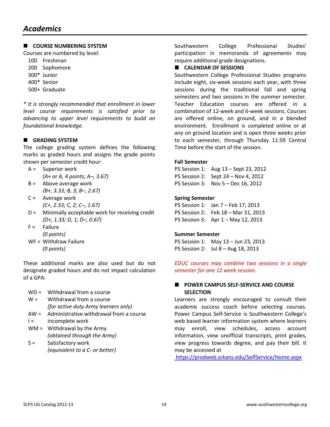## **E** COURSE NUMBERING SYSTEM

Courses are numbered by level:

- 100 Freshman
- 200 Sophomore
- 300\* Junior
- 400\* Senior
- 500+ Graduate

*\* It is strongly recommended that enrollment in lower level course requirements is satisfied prior to advancing to upper level requirements to build on foundational knowledge.* 

## **E** GRADING SYSTEM

The college grading system defines the following marks as graded hours and assigns the grade points shown per semester credit hour:

- A = Superior work  *(A+ or A, 4 points; A–, 3.67)*
- $B =$  Above average work  *(B+, 3.33; B, 3; B–, 2.67)*
- C = Average work  *(C+, 2.33; C, 2; C–, 1.67)*
- D = Minimally acceptable work for receiving credit  *(D+, 1.33; D, 1; D–, 0.67)*
- $F =$ Failure  *(0 points)*
- WF = Withdraw Failure  *(0 points)*

These additional marks are also used but do not designate graded hours and do not impact calculation of a GPA:

- WD = Withdrawal from a course
- $W =$  Withdrawal from a course  *(for active duty Army learners only)*
- AW = Administrative withdrawal from a course
- I = Incomplete work
- WM = Withdrawal by the Army *(obtained through the Army)*
- S = Satisfactory work *(equivalent to a C- or better)*

Southwestern College Professional Studies' participation in memoranda of agreements may require additional grade designations.

### **E** CALENDAR OF SESSIONS

Southwestern College Professional Studies programs include eight, six-week sessions each year, with three sessions during the traditional fall and spring semesters and two sessions in the summer semester. Teacher Education courses are offered in a combination of 12-week and 6-week sessions. Courses are offered online, on ground, and in a blended environment. Enrollment is completed online or at any on ground location and is open three weeks prior to each semester, through Thursday 11:59 Central Time before the start of the session.

#### **Fall Semester**

PS Session 1: Aug 13 – Sept 23, 2012 PS Session 2: Sept 24 – Nov 4, 2012 PS Session 3: Nov 5 – Dec 16, 2012

#### **Spring Semester**

PS Session 1: Jan 7 – Feb 17, 2013 PS Session 2: Feb 18 – Mar 31, 2013 PS Session 3: Apr 1 – May 12, 2013

#### **Summer Semester**

PS Session 1: May 13 – Jun 23, 2013 PS Session 2: Jul 8 – Aug 18, 2013

*EDUC courses may combine two sessions in a single semester for one 12 week session.* 

#### $\blacksquare$  POWER CAMPUS SELF-SERVICE AND COURSE **SELECTION**

Learners are strongly encouraged to consult their academic success coach before selecting courses. Power Campus Self-Service is Southwestern College's web based learner information system where learners may enroll, view schedules, access account information, view unofficial transcripts, print grades, view progress towards degree, and pay their bill. It may be accessed at

https://prodweb.sckans.edu/SelfService/Home.aspx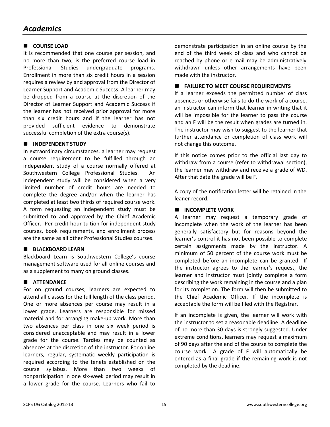## $\blacksquare$  COURSE LOAD

It is recommended that one course per session, and no more than two, is the preferred course load in Professional Studies undergraduate programs. Enrollment in more than six credit hours in a session requires a review by and approval from the Director of Learner Support and Academic Success. A learner may be dropped from a course at the discretion of the Director of Learner Support and Academic Success if the learner has not received prior approval for more than six credit hours and if the learner has not provided sufficient evidence to demonstrate successful completion of the extra course(s).

#### **N** INDEPENDENT STUDY

In extraordinary circumstances, a learner may request a course requirement to be fulfilled through an independent study of a course normally offered at Southwestern College Professional Studies. An independent study will be considered when a very limited number of credit hours are needed to complete the degree and/or when the learner has completed at least two thirds of required course work. A form requesting an independent study must be submitted to and approved by the Chief Academic Officer. Per credit hour tuition for independent study courses, book requirements, and enrollment process are the same as all other Professional Studies courses.

#### **BLACKBOARD LEARN**

Blackboard Learn is Southwestern College's course management software used for all online courses and as a supplement to many on ground classes.

## $\blacksquare$  ATTENDANCE

For on ground courses, learners are expected to attend all classes for the full length of the class period. One or more absences per course may result in a lower grade. Learners are responsible for missed material and for arranging make-up work. More than two absences per class in one six week period is considered unacceptable and may result in a lower grade for the course. Tardies may be counted as absences at the discretion of the instructor. For online learners, regular, systematic weekly participation is required according to the tenets established on the course syllabus. More than two weeks of nonparticipation in one six-week period may result in a lower grade for the course. Learners who fail to

demonstrate participation in an online course by the end of the third week of class and who cannot be reached by phone or e-mail may be administratively withdrawn unless other arrangements have been made with the instructor.

#### **E** FAILURE TO MEET COURSE REQUIREMENTS

If a learner exceeds the permitted number of class absences or otherwise fails to do the work of a course, an instructor can inform that learner in writing that it will be impossible for the learner to pass the course and an F will be the result when grades are turned in. The instructor may wish to suggest to the learner that further attendance or completion of class work will not change this outcome.

If this notice comes prior to the official last day to withdraw from a course (refer to withdrawal section), the learner may withdraw and receive a grade of WD. After that date the grade will be F.

A copy of the notification letter will be retained in the leaner record.

### $\blacksquare$  **INCOMPLETE WORK**

A learner may request a temporary grade of incomplete when the work of the learner has been generally satisfactory but for reasons beyond the learner's control it has not been possible to complete certain assignments made by the instructor. A minimum of 50 percent of the course work must be completed before an incomplete can be granted. If the instructor agrees to the learner's request, the learner and instructor must jointly complete a form describing the work remaining in the course and a plan for its completion. The form will then be submitted to the Chief Academic Officer. If the incomplete is acceptable the form will be filed with the Registrar.

If an incomplete is given, the learner will work with the instructor to set a reasonable deadline. A deadline of no more than 30 days is strongly suggested. Under extreme conditions, learners may request a maximum of 90 days after the end of the course to complete the course work. A grade of F will automatically be entered as a final grade if the remaining work is not completed by the deadline.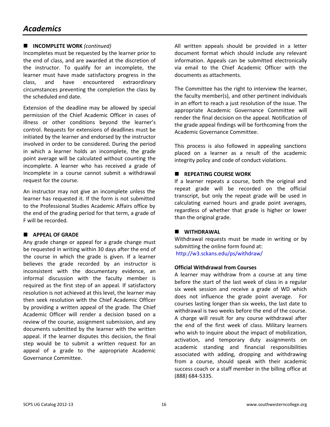## *Academics*

## ■ **INCOMPLETE WORK** (continued)

Incompletes must be requested by the learner prior to the end of class, and are awarded at the discretion of the instructor. To qualify for an incomplete, the learner must have made satisfactory progress in the class, and have encountered extraordinary circumstances preventing the completion the class by the scheduled end date.

Extension of the deadline may be allowed by special permission of the Chief Academic Officer in cases of illness or other conditions beyond the learner's control. Requests for extensions of deadlines must be initiated by the learner and endorsed by the instructor involved in order to be considered. During the period in which a learner holds an incomplete, the grade point average will be calculated without counting the incomplete. A learner who has received a grade of Incomplete in a course cannot submit a withdrawal request for the course.

An instructor may not give an incomplete unless the learner has requested it. If the form is not submitted to the Professional Studies Academic Affairs office by the end of the grading period for that term, a grade of F will be recorded.

#### **APPEAL OF GRADE**

Any grade change or appeal for a grade change must be requested in writing within 30 days after the end of the course in which the grade is given. If a learner believes the grade recorded by an instructor is inconsistent with the documentary evidence, an informal discussion with the faculty member is required as the first step of an appeal. If satisfactory resolution is not achieved at this level, the learner may then seek resolution with the Chief Academic Officer by providing a written appeal of the grade. The Chief Academic Officer will render a decision based on a review of the course, assignment submission, and any documents submitted by the learner with the written appeal. If the learner disputes this decision, the final step would be to submit a written request for an appeal of a grade to the appropriate Academic Governance Committee.

All written appeals should be provided in a letter document format which should include any relevant information. Appeals can be submitted electronically via email to the Chief Academic Officer with the documents as attachments.

The Committee has the right to interview the learner, the faculty member(s), and other pertinent individuals in an effort to reach a just resolution of the issue. The appropriate Academic Governance Committee will render the final decision on the appeal. Notification of the grade appeal findings will be forthcoming from the Academic Governance Committee.

This process is also followed in appealing sanctions placed on a learner as a result of the academic integrity policy and code of conduct violations.

#### **E** REPEATING COURSE WORK

If a learner repeats a course, both the original and repeat grade will be recorded on the official transcript, but only the repeat grade will be used in calculating earned hours and grade point averages, regardless of whether that grade is higher or lower than the original grade.

#### $\blacksquare$  WITHDRAWAL

Withdrawal requests must be made in writing or by submitting the online form found at: http://w3.sckans.edu/ps/withdraw/

#### **Official Withdrawal from Courses**

A learner may withdraw from a course at any time before the start of the last week of class in a regular six week session and receive a grade of WD which does not influence the grade point average. For courses lasting longer than six weeks, the last date to withdrawal is two weeks before the end of the course. A charge will result for any course withdrawal after the end of the first week of class. Military learners who wish to inquire about the impact of mobilization, activation, and temporary duty assignments on academic standing and financial responsibilities associated with adding, dropping and withdrawing from a course, should speak with their academic success coach or a staff member in the billing office at (888) 684-5335.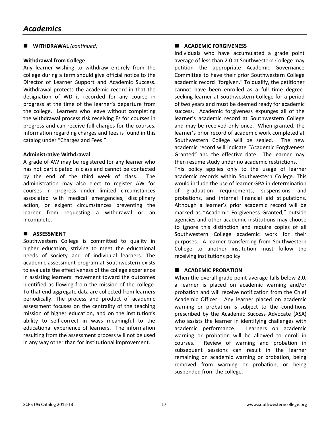**E** WITHDRAWAL *(continued)* 

#### **Withdrawal from College**

Any learner wishing to withdraw entirely from the college during a term should give official notice to the Director of Learner Support and Academic Success. Withdrawal protects the academic record in that the designation of WD is recorded for any course in progress at the time of the learner's departure from the college. Learners who leave without completing the withdrawal process risk receiving Fs for courses in progress and can receive full charges for the courses. Information regarding charges and fees is found in this catalog under "Charges and Fees."

#### **Administrative Withdrawal**

A grade of AW may be registered for any learner who has not participated in class and cannot be contacted by the end of the third week of class. The administration may also elect to register AW for courses in progress under limited circumstances associated with medical emergencies, disciplinary action, or exigent circumstances preventing the learner from requesting a withdrawal or an incomplete.

#### **ASSESSMENT**

Southwestern College is committed to quality in higher education, striving to meet the educational needs of society and of individual learners. The academic assessment program at Southwestern exists to evaluate the effectiveness of the college experience in assisting learners' movement toward the outcomes identified as flowing from the mission of the college. To that end aggregate data are collected from learners periodically. The process and product of academic assessment focuses on the centrality of the teaching mission of higher education, and on the institution's ability to self-correct in ways meaningful to the educational experience of learners. The information resulting from the assessment process will not be used in any way other than for institutional improvement.

## **E** ACADEMIC FORGIVENESS

Individuals who have accumulated a grade point average of less than 2.0 at Southwestern College may petition the appropriate Academic Governance Committee to have their prior Southwestern College academic record "forgiven." To qualify, the petitioner cannot have been enrolled as a full time degreeseeking learner at Southwestern College for a period of two years and must be deemed ready for academic success. Academic forgiveness expunges all of the learner's academic record at Southwestern College and may be received only once. When granted, the learner's prior record of academic work completed at Southwestern College will be sealed. The new academic record will indicate "Academic Forgiveness Granted" and the effective date. The learner may then resume study under no academic restrictions.

This policy applies only to the usage of learner academic records within Southwestern College. This would include the use of learner GPA in determination of graduation requirements, suspensions and probations, and internal financial aid stipulations. Although a learner's prior academic record will be marked as "Academic Forgiveness Granted," outside agencies and other academic institutions may choose to ignore this distinction and require copies of all Southwestern College academic work for their purposes. A learner transferring from Southwestern College to another institution must follow the receiving institutions policy.

### **E** ACADEMIC PROBATION

When the overall grade point average falls below 2.0, a learner is placed on academic warning and/or probation and will receive notification from the Chief Academic Officer. Any learner placed on academic warning or probation is subject to the conditions prescribed by the Academic Success Advocate (ASA) who assists the learner in identifying challenges with academic performance. Learners on academic warning or probation will be allowed to enroll in courses. Review of warning and probation in subsequent sessions can result in the learner remaining on academic warning or probation, being removed from warning or probation, or being suspended from the college.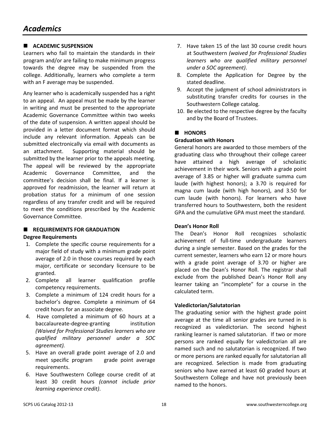## **E** ACADEMIC SUSPENSION

Learners who fail to maintain the standards in their program and/or are failing to make minimum progress towards the degree may be suspended from the college. Additionally, learners who complete a term with an F average may be suspended.

Any learner who is academically suspended has a right to an appeal. An appeal must be made by the learner in writing and must be presented to the appropriate Academic Governance Committee within two weeks of the date of suspension. A written appeal should be provided in a letter document format which should include any relevant information. Appeals can be submitted electronically via email with documents as an attachment. Supporting material should be submitted by the learner prior to the appeals meeting. The appeal will be reviewed by the appropriate Academic Governance Committee, and the committee's decision shall be final. If a learner is approved for readmission, the learner will return at probation status for a minimum of one session regardless of any transfer credit and will be required to meet the conditions prescribed by the Academic Governance Committee.

## **E** REQUIREMENTS FOR GRADUATION

#### **Degree Requirements**

- 1. Complete the specific course requirements for a major field of study with a minimum grade point average of 2.0 in those courses required by each major, certificate or secondary licensure to be granted.
- 2. Complete all learner qualification profile competency requirements.
- 3. Complete a minimum of 124 credit hours for a bachelor's degree. Complete a minimum of 64 credit hours for an associate degree.
- 4. Have completed a minimum of 60 hours at a baccalaureate-degree-granting institution *(Waived for Professional Studies learners who are qualified military personnel under a SOC agreement).*
- 5. Have an overall grade point average of 2.0 and meet specific program grade point average requirements.
- 6. Have Southwestern College course credit of at least 30 credit hours *(cannot include prior learning experience credit)*.
- 7. Have taken 15 of the last 30 course credit hours at Southwestern *(waived for Professional Studies learners who are qualified military personnel under a SOC agreement)*.
- 8. Complete the Application for Degree by the stated deadline.
- 9. Accept the judgment of school administrators in substituting transfer credits for courses in the Southwestern College catalog.
- 10. Be elected to the respective degree by the faculty and by the Board of Trustees.

#### **E** HONORS

#### **Graduation with Honors**

General honors are awarded to those members of the graduating class who throughout their college career have attained a high average of scholastic achievement in their work. Seniors with a grade point average of 3.85 or higher will graduate summa cum laude (with highest honors); a 3.70 is required for magna cum laude (with high honors), and 3.50 for cum laude (with honors). For learners who have transferred hours to Southwestern, both the resident GPA and the cumulative GPA must meet the standard.

#### **Dean's Honor Roll**

The Dean's Honor Roll recognizes scholastic achievement of full-time undergraduate learners during a single semester. Based on the grades for the current semester, learners who earn 12 or more hours with a grade point average of 3.70 or higher are placed on the Dean's Honor Roll. The registrar shall exclude from the published Dean's Honor Roll any learner taking an "incomplete" for a course in the calculated term.

#### **Valedictorian/Salutatorian**

The graduating senior with the highest grade point average at the time all senior grades are turned in is recognized as valedictorian. The second highest ranking learner is named salutatorian. If two or more persons are ranked equally for valedictorian all are named such and no salutatorian is recognized. If two or more persons are ranked equally for salutatorian all are recognized. Selection is made from graduating seniors who have earned at least 60 graded hours at Southwestern College and have not previously been named to the honors.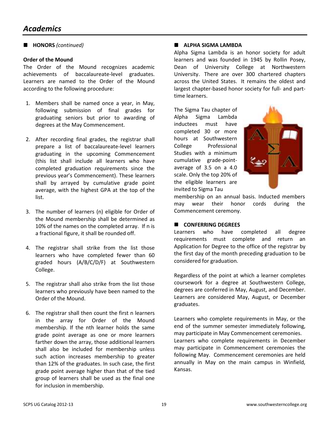■ **HONORS** *(continued)* 

#### **Order of the Mound**

The Order of the Mound recognizes academic achievements of baccalaureate-level graduates. Learners are named to the Order of the Mound according to the following procedure:

- 1. Members shall be named once a year, in May, following submission of final grades for graduating seniors but prior to awarding of degrees at the May Commencement.
- 2. After recording final grades, the registrar shall prepare a list of baccalaureate-level learners graduating in the upcoming Commencement (this list shall include all learners who have completed graduation requirements since the previous year's Commencement). These learners shall by arrayed by cumulative grade point average, with the highest GPA at the top of the list.
- 3. The number of learners (n) eligible for Order of the Mound membership shall be determined as 10% of the names on the completed array. If n is a fractional figure, it shall be rounded off.
- 4. The registrar shall strike from the list those learners who have completed fewer than 60 graded hours (A/B/C/D/F) at Southwestern College.
- 5. The registrar shall also strike from the list those learners who previously have been named to the Order of the Mound.
- 6. The registrar shall then count the first n learners in the array for Order of the Mound membership. If the nth learner holds the same grade point average as one or more learners farther down the array, those additional learners shall also be included for membership unless such action increases membership to greater than 12% of the graduates. In such case, the first grade point average higher than that of the tied group of learners shall be used as the final one for inclusion in membership.

#### **E** ALPHA SIGMA LAMBDA

Alpha Sigma Lambda is an honor society for adult learners and was founded in 1945 by Rollin Posey, Dean of University College at Northwestern University. There are over 300 chartered chapters across the United States. It remains the oldest and largest chapter-based honor society for full- and parttime learners.

The Sigma Tau chapter of Alpha Sigma Lambda inductees must have completed 30 or more hours at Southwestern College Professional Studies with a minimum cumulative grade-pointaverage of 3.5 on a 4.0 scale. Only the top 20% of the eligible learners are invited to Sigma Tau



membership on an annual basis. Inducted members may wear their honor cords during the Commencement ceremony.

#### $\blacksquare$  CONFERRING DEGREES

Learners who have completed all degree requirements must complete and return an Application for Degree to the office of the registrar by the first day of the month preceding graduation to be considered for graduation.

Regardless of the point at which a learner completes coursework for a degree at Southwestern College, degrees are conferred in May, August, and December. Learners are considered May, August, or December graduates.

Learners who complete requirements in May, or the end of the summer semester immediately following, may participate in May Commencement ceremonies. Learners who complete requirements in December may participate in Commencement ceremonies the following May. Commencement ceremonies are held annually in May on the main campus in Winfield, Kansas.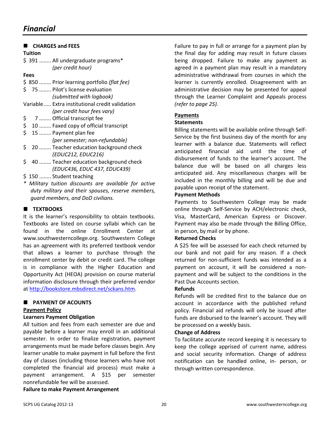| <b>CHARGES and FEES</b>                             |
|-----------------------------------------------------|
| Tuition                                             |
| \$391  All undergraduate programs*                  |
| (per credit hour)                                   |
| <b>Fees</b>                                         |
| \$850  Prior learning portfolio (flat fee)          |
| \$75  Pilot's license evaluation                    |
| (submitted with logbook)                            |
| Variable Extra institutional credit validation      |
| (per credit hour fees vary)                         |
| \$<br>7  Official transcript fee                    |
| \$<br>10  Faxed copy of official transcript         |
| \$<br>15  Payment plan fee                          |
| (per semester; non-refundable)                      |
| \$<br>20  Teacher education background check        |
| (EDUC212, EDUC216)                                  |
| \$<br>40  Teacher education background check        |
| (EDUC436, EDUC 437, EDUC439)                        |
| \$150  Student teaching                             |
| ∗<br>Military tuition discounts are available for a |

for active *duty military and their spouses, reserve members, guard members, and DoD civilians.* 

## **EXTBOOKS**

It is the learner's responsibility to obtain textbooks. Textbooks are listed on course syllabi which can be found in the online Enrollment Center at www.southwesterncollege.org. Southwestern College has an agreement with its preferred textbook vendor that allows a learner to purchase through the enrollment center by debit or credit card. The college is in compliance with the Higher Education and Opportunity Act (HEOA) provision on course material information disclosure through their preferred vendor at http://bookstore.mbsdirect.net/sckans.htm.

## **E** PAYMENT OF ACOUNTS

#### **Payment Policy**

#### **Learners Payment Obligation**

All tuition and fees from each semester are due and payable before a learner may enroll in an additional semester. In order to finalize registration, payment arrangements must be made before classes begin. Any learner unable to make payment in full before the first day of classes (including those learners who have not completed the financial aid process) must make a payment arrangement. A \$15 per semester nonrefundable fee will be assessed.

**Failure to make Payment Arrangement** 

Failure to pay in full or arrange for a payment plan by the final day for adding may result in future classes being dropped. Failure to make any payment as agreed in a payment plan may result in a mandatory administrative withdrawal from courses in which the learner is currently enrolled. Disagreement with an administrative decision may be presented for appeal through the Learner Complaint and Appeals process *(refer to page 25).*

## **Payments**

#### **Statements**

Billing statements will be available online through Self-Service by the first business day of the month for any learner with a balance due. Statements will reflect anticipated financial aid until the time of disbursement of funds to the learner's account. The balance due will be based on all charges less anticipated aid. Any miscellaneous charges will be included in the monthly billing and will be due and payable upon receipt of the statement.

#### **Payment Methods**

Payments to Southwestern College may be made online through Self-Service by ACH/electronic check, Visa, MasterCard, American Express or Discover. Payment may also be made through the Billing Office, in person, by mail or by phone.

#### **Returned Checks**

A \$25 fee will be assessed for each check returned by our bank and not paid for any reason. If a check returned for non-sufficient funds was intended as a payment on account, it will be considered a nonpayment and will be subject to the conditions in the Past Due Accounts section.

#### **Refunds**

Refunds will be credited first to the balance due on account in accordance with the published refund policy. Financial aid refunds will only be issued after funds are disbursed to the learner's account. They will be processed on a weekly basis.

#### **Change of Address**

To facilitate accurate record keeping it is necessary to keep the college apprised of current name, address and social security information. Change of address notification can be handled online, in- person, or through written correspondence.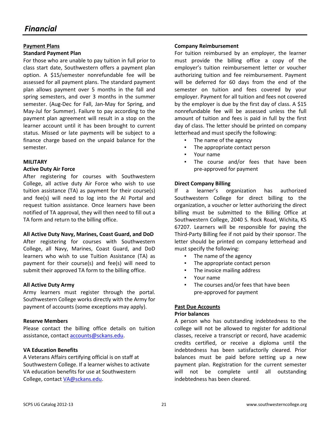#### **Payment Plans Standard Payment Plan**

For those who are unable to pay tuition in full prior to class start date, Southwestern offers a payment plan option. A \$15/semester nonrefundable fee will be assessed for all payment plans. The standard payment plan allows payment over 5 months in the fall and spring semesters, and over 3 months in the summer semester. (Aug-Dec for Fall, Jan-May for Spring, and May-Jul for Summer). Failure to pay according to the payment plan agreement will result in a stop on the learner account until it has been brought to current status. Missed or late payments will be subject to a finance charge based on the unpaid balance for the semester.

#### **MILITARY**

#### **Active Duty Air Force**

After registering for courses with Southwestern College, all active duty Air Force who wish to use tuition assistance (TA) as payment for their course(s) and fee(s) will need to log into the AI Portal and request tuition assistance. Once learners have been notified of TA approval, they will then need to fill out a TA form and return to the billing office.

#### **All Active Duty Navy, Marines, Coast Guard, and DoD**

After registering for courses with Southwestern College, all Navy, Marines, Coast Guard, and DoD learners who wish to use Tuition Assistance (TA) as payment for their course(s) and fee(s) will need to submit their approved TA form to the billing office.

#### **All Active Duty Army**

Army learners must register through the portal. Southwestern College works directly with the Army for payment of accounts (some exceptions may apply).

#### **Reserve Members**

Please contact the billing office details on tuition assistance, contact accounts@sckans.edu.

#### **VA Education Benefits**

A Veterans Affairs certifying official is on staff at Southwestern College. If a learner wishes to activate VA education benefits for use at Southwestern College, contact VA@sckans.edu.

#### **Company Reimbursement**

For tuition reimbursed by an employer, the learner must provide the billing office a copy of the employer's tuition reimbursement letter or voucher authorizing tuition and fee reimbursement. Payment will be deferred for 60 days from the end of the semester on tuition and fees covered by your employer. Payment for all tuition and fees not covered by the employer is due by the first day of class. A \$15 nonrefundable fee will be assessed unless the full amount of tuition and fees is paid in full by the first day of class. The letter should be printed on company letterhead and must specify the following:

- The name of the agency
- The appropriate contact person
- Your name
- The course and/or fees that have been pre-approved for payment

#### **Direct Company Billing**

If a learner's organization has authorized Southwestern College for direct billing to the organization, a voucher or letter authorizing the direct billing must be submitted to the Billing Office at Southwestern College, 2040 S. Rock Road, Wichita, KS 67207. Learners will be responsible for paying the Third-Party Billing fee if not paid by their sponsor. The letter should be printed on company letterhead and must specify the following:

- The name of the agency
- The appropriate contact person
- The invoice mailing address
- Your name
- The courses and/or fees that have been pre-approved for payment

#### **Past Due Accounts**

#### **Prior balances**

A person who has outstanding indebtedness to the college will not be allowed to register for additional classes, receive a transcript or record, have academic credits certified, or receive a diploma until the indebtedness has been satisfactorily cleared. Prior balances must be paid before setting up a new payment plan. Registration for the current semester will not be complete until all outstanding indebtedness has been cleared.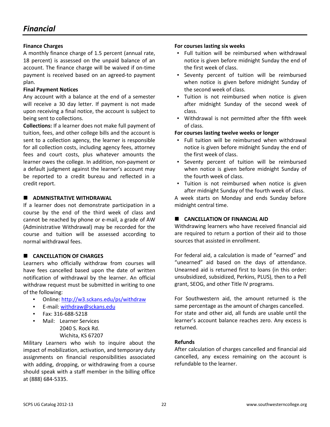#### **Finance Charges**

A monthly finance charge of 1.5 percent (annual rate, 18 percent) is assessed on the unpaid balance of an account. The finance charge will be waived if on-time payment is received based on an agreed-to payment plan.

#### **Final Payment Notices**

Any account with a balance at the end of a semester will receive a 30 day letter. If payment is not made upon receiving a final notice, the account is subject to being sent to collections.

**Collections:** If a learner does not make full payment of tuition, fees, and other college bills and the account is sent to a collection agency, the learner is responsible for all collection costs, including agency fees, attorney fees and court costs, plus whatever amounts the learner owes the college. In addition, non-payment or a default judgment against the learner's account may be reported to a credit bureau and reflected in a credit report.

## **E** ADMNISTRATIVE WITHDRAWAL

If a learner does not demonstrate participation in a course by the end of the third week of class and cannot be reached by phone or e-mail, a grade of AW (Administrative Withdrawal) may be recorded for the course and tuition will be assessed according to normal withdrawal fees.

## **E** CANCELLATION OF CHARGES

Learners who officially withdraw from courses will have fees cancelled based upon the date of written notification of withdrawal by the learner. An official withdraw request must be submitted in writing to one of the following:

- Online: http://w3.sckans.edu/ps/withdraw
- E-mail: withdraw@sckans.edu
- Fax: 316-688-5218
- Mail: Learner Services 2040 S. Rock Rd. Wichita, KS 67207

Military Learners who wish to inquire about the impact of mobilization, activation, and temporary duty assignments on financial responsibilities associated with adding, dropping, or withdrawing from a course should speak with a staff member in the billing office at (888) 684-5335.

#### **For courses lasting six weeks**

- Full tuition will be reimbursed when withdrawal notice is given before midnight Sunday the end of the first week of class.
- Seventy percent of tuition will be reimbursed when notice is given before midnight Sunday of the second week of class.
- Tuition is not reimbursed when notice is given after midnight Sunday of the second week of class.
- Withdrawal is not permitted after the fifth week of class.

#### **For courses lasting twelve weeks or longer**

- Full tuition will be reimbursed when withdrawal notice is given before midnight Sunday the end of the first week of class.
- Seventy percent of tuition will be reimbursed when notice is given before midnight Sunday of the fourth week of class.
- Tuition is not reimbursed when notice is given after midnight Sunday of the fourth week of class.

A week starts on Monday and ends Sunday before midnight central time.

## **E** CANCELLATION OF FINANCIAL AID

Withdrawing learners who have received financial aid are required to return a portion of their aid to those sources that assisted in enrollment.

For federal aid, a calculation is made of "earned" and "unearned" aid based on the days of attendance. Unearned aid is returned first to loans (in this order: unsubsidized, subsidized, Perkins, PLUS), then to a Pell grant, SEOG, and other Title IV programs.

For Southwestern aid, the amount returned is the same percentage as the amount of charges cancelled. For state and other aid, all funds are usable until the learner's account balance reaches zero. Any excess is returned.

#### **Refunds**

After calculation of charges cancelled and financial aid cancelled, any excess remaining on the account is refundable to the learner.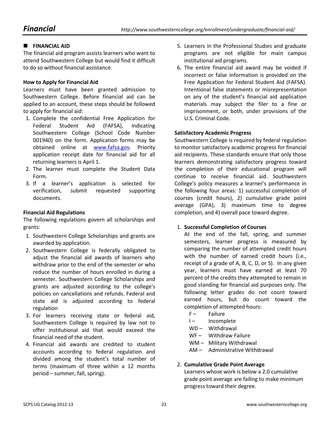## **E** FINANCIAL AID

The financial aid program assists learners who want to attend Southwestern College but would find it difficult to do so without financial assistance.

#### **How to Apply for Financial Aid**

Learners must have been granted admission to Southwestern College. Before financial aid can be applied to an account, these steps should be followed to apply for financial aid:

- 1. Complete the confidential Free Application for Federal Student Aid (FAFSA), indicating Southwestern College (School Code Number 001940) on the form. Application forms may be obtained online at www.fafsa.gov. Priority application receipt date for financial aid for all returning learners is April 1.
- 2. The learner must complete the Student Data Form.
- 3. If a learner's application is selected for verification, submit requested supporting documents.

#### **Financial Aid Regulations**

The following regulations govern all scholarships and grants:

- 1. Southwestern College Scholarships and grants are awarded by application.
- 2. Southwestern College is federally obligated to adjust the financial aid awards of learners who withdraw prior to the end of the semester or who reduce the number of hours enrolled in during a semester. Southwestern College Scholarships and grants are adjusted according to the college's policies on cancellations and refunds. Federal and state aid is adjusted according to federal regulation
- 3. For learners receiving state or federal aid, Southwestern College is required by law not to offer institutional aid that would exceed the financial need of the student.
- 4. Financial aid awards are credited to student accounts according to federal regulation and divided among the student's total number of terms (maximum of three within a 12 months period – summer, fall, spring).
- 5. Learners in the Professional Studies and graduate programs are not eligible for main campus institutional aid programs.
- 6. The entire financial aid award may be voided if incorrect or false information is provided on the Free Application for Federal Student Aid (FAFSA). Intentional false statements or misrepresentation on any of the student's financial aid application materials may subject the filer to a fine or imprisonment, or both, under provisions of the U.S. Criminal Code.

#### **Satisfactory Academic Progress**

Southwestern College is required by federal regulation to monitor satisfactory academic progress for financial aid recipients. These standards ensure that only those learners demonstrating satisfactory progress toward the completion of their educational program will continue to receive financial aid. Southwestern College's policy measures a learner's performance in the following four areas: 1) successful completion of courses (credit hours), 2) cumulative grade point average (GPA), 3) maximum time to degree completion, and 4) overall pace toward degree.

#### 1. **Successful Completion of Courses**

At the end of the fall, spring, and summer semesters, learner progress is measured by comparing the number of attempted credit hours with the number of earned credit hours (i.e., receipt of a grade of A, B, C, D, or S). In any given year, learners must have earned at least 70 percent of the credits they attempted to remain in good standing for financial aid purposes only. The following letter grades do not count toward earned hours, but do count toward the completion of attempted hours:

- F- Failure
- I- Incomplete
- WD Withdrawal
- WF- Withdraw Failure
- WM Military Withdrawal
- AM Administrative Withdrawal

#### 2. **Cumulative Grade Point Average**

Learners whose work is below a 2.0 cumulative grade point average are failing to make minimum progress toward their degree.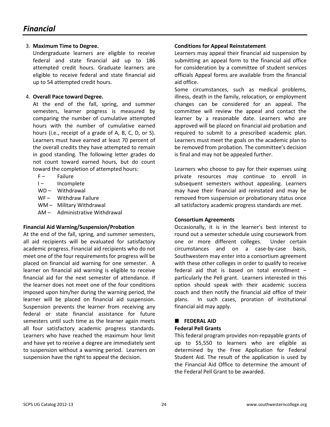#### 3. **Maximum Time to Degree.**

Undergraduate learners are eligible to receive federal and state financial aid up to 186 attempted credit hours. Graduate learners are eligible to receive federal and state financial aid up to 54 attempted credit hours.

#### 4. **Overall Pace toward Degree.**

At the end of the fall, spring, and summer semesters, learner progress is measured by comparing the number of cumulative attempted hours with the number of cumulative earned hours (i.e., receipt of a grade of A, B, C, D, or S). Learners must have earned at least 70 percent of the overall credits they have attempted to remain in good standing. The following letter grades do not count toward earned hours, but do count toward the completion of attempted hours:

- F- Failure
- I- Incomplete
- WD Withdrawal
- WF Withdraw Failure
- WM Military Withdrawal
- AM Administrative Withdrawal

#### **Financial Aid Warning/Suspension/Probation**

At the end of the fall, spring, and summer semesters, all aid recipients will be evaluated for satisfactory academic progress. Financial aid recipients who do not meet one of the four requirements for progress will be placed on financial aid warning for one semester. A learner on financial aid warning is eligible to receive financial aid for the next semester of attendance. If the learner does not meet one of the four conditions imposed upon him/her during the warning period, the learner will be placed on financial aid suspension. Suspension prevents the learner from receiving any federal or state financial assistance for future semesters until such time as the learner again meets all four satisfactory academic progress standards. Learners who have reached the maximum hour limit and have yet to receive a degree are immediately sent to suspension without a warning period. Learners on suspension have the right to appeal the decision.

#### **Conditions for Appeal Reinstatement**

Learners may appeal their financial aid suspension by submitting an appeal form to the financial aid office for consideration by a committee of student services officials Appeal forms are available from the financial aid office.

Some circumstances, such as medical problems, illness, death in the family, relocation, or employment changes can be considered for an appeal. The committee will review the appeal and contact the learner by a reasonable date. Learners who are approved will be placed on financial aid probation and required to submit to a prescribed academic plan. Learners must meet the goals on the academic plan to be removed from probation. The committee's decision is final and may not be appealed further.

Learners who choose to pay for their expenses using private resources may continue to enroll in subsequent semesters without appealing. Learners may have their financial aid reinstated and may be removed from suspension or probationary status once all satisfactory academic progress standards are met.

#### **Consortium Agreements**

Occasionally, it is in the learner's best interest to round out a semester schedule using coursework from one or more different colleges. Under certain circumstances and on a case-by-case basis, Southwestern may enter into a consortium agreement with these other colleges in order to qualify to receive federal aid that is based on total enrollment – particularly the Pell grant. Learners interested in this option should speak with their academic success coach and then notify the financial aid office of their plans. In such cases, proration of institutional financial aid may apply.

#### **EDERAL AID**

#### **Federal Pell Grants**

This federal program provides non-repayable grants of up to \$5,550 to learners who are eligible as determined by the Free Application for Federal Student Aid. The result of the application is used by the Financial Aid Office to determine the amount of the Federal Pell Grant to be awarded.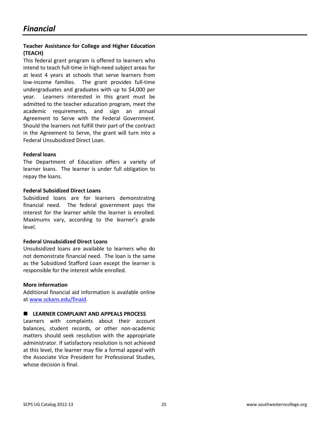#### **Teacher Assistance for College and Higher Education (TEACH)**

This federal grant program is offered to learners who intend to teach full-time in high-need subject areas for at least 4 years at schools that serve learners from low-income families. The grant provides full-time undergraduates and graduates with up to \$4,000 per year. Learners interested in this grant must be admitted to the teacher education program, meet the academic requirements, and sign an annual Agreement to Serve with the Federal Government. Should the learners not fulfill their part of the contract in the Agreement to Serve, the grant will turn into a Federal Unsubsidized Direct Loan.

#### **Federal loans**

The Department of Education offers a variety of learner loans. The learner is under full obligation to repay the loans.

#### **Federal Subsidized Direct Loans**

Subsidized loans are for learners demonstrating financial need. The federal government pays the interest for the learner while the learner is enrolled. Maximums vary, according to the learner's grade level.

#### **Federal Unsubsidized Direct Loans**

Unsubsidized loans are available to learners who do not demonstrate financial need. The loan is the same as the Subsidized Stafford Loan except the learner is responsible for the interest while enrolled.

#### **More information**

Additional financial aid information is available online at www.sckans.edu/finaid.

#### **E** LEARNER COMPLAINT AND APPEALS PROCESS

Learners with complaints about their account balances, student records, or other non-academic matters should seek resolution with the appropriate administrator. If satisfactory resolution is not achieved at this level, the learner may file a formal appeal with the Associate Vice President for Professional Studies, whose decision is final.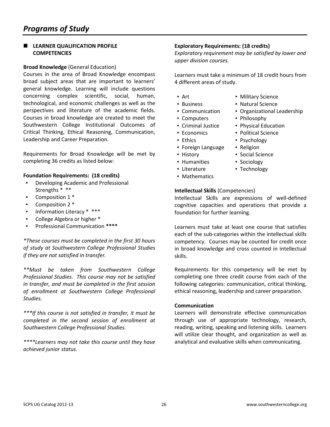#### **E** LEARNER QUALIFICATION PROFILE **COMPETENCIES**

#### **Broad Knowledge** (General Education)

Courses in the area of Broad Knowledge encompass broad subject areas that are important to learners' general knowledge. Learning will include questions concerning complex scientific, social, human, technological, and economic challenges as well as the perspectives and literature of the academic fields. Courses in broad knowledge are created to meet the Southwestern College Institutional Outcomes of Critical Thinking, Ethical Reasoning, Communication, Leadership and Career Preparation.

Requirements for Broad Knowledge will be met by completing 36 credits as listed below:

#### **Foundation Requirements: (18 credits)**

- Developing Academic and Professional Strengths \* \*\*
- Composition 1 \*
- Composition 2 \*
- Information Literacy \* \*\*\*
- College Algebra or higher \*
- Professional Communication **\*\*\*\***

*\*These courses must be completed in the first 30 hours of study at Southwestern College Professional Studies if they are not satisfied in transfer.* 

*\*\*Must be taken from Southwestern College Professional Studies. This course may not be satisfied in transfer, and must be completed in the first session of enrollment at Southwestern College Professional Studies.* 

*\*\*\*If this course is not satisfied in transfer, it must be completed in the second session of enrollment at Southwestern College Professional Studies.* 

*\*\*\*\*Learners may not take this course until they have achieved junior status.* 

#### **Exploratory Requirements: (18 credits)**

*Exploratory requirement may be satisfied by lower and upper division courses.* 

Learners must take a minimum of 18 credit hours from 4 different areas of study.

- Art  **Military Science**
- Business Natural Science
- Communication Organizational Leadership
- Computers Philosophy
- Criminal Justice Physical Education
- Economics Political Science
- 
- Foreign Language Religion
- 
- Humanities Sociology
- Literature Technology
- **Mathematics**

#### **Intellectual Skills** (Competencies)

Intellectual Skills are expressions of well-defined cognitive capacities and operations that provide a foundation for further learning.

Learners must take at least one course that satisfies each of the sub-categories within the intellectual skills competency. Courses may be counted for credit once in broad knowledge and cross counted in intellectual skills.

Requirements for this competency will be met by completing one three credit course from each of the following categories: communication, critical thinking, ethical reasoning, leadership and career preparation.

#### **Communication**

Learners will demonstrate effective communication through use of appropriate technology, research, reading, writing, speaking and listening skills. Learners will utilize clear thought, and organization as well as analytical and evaluative skills when communicating.

- 
- Ethics Psychology
	-
- History Social Science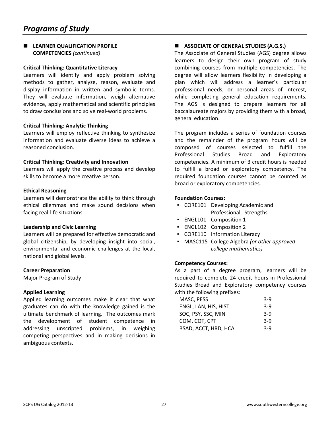### **E** LEARNER QUALIFICATION PROFILE **COMPETENCIES** *(continued)*

#### **Critical Thinking: Quantitative Literacy**

Learners will identify and apply problem solving methods to gather, analyze, reason, evaluate and display information in written and symbolic terms. They will evaluate information, weigh alternative evidence, apply mathematical and scientific principles to draw conclusions and solve real-world problems.

#### **Critical Thinking: Analytic Thinking**

Learners will employ reflective thinking to synthesize information and evaluate diverse ideas to achieve a reasoned conclusion.

#### **Critical Thinking: Creativity and Innovation**

Learners will apply the creative process and develop skills to become a more creative person.

#### **Ethical Reasoning**

Learners will demonstrate the ability to think through ethical dilemmas and make sound decisions when facing real-life situations.

#### **Leadership and Civic Learning**

Learners will be prepared for effective democratic and global citizenship, by developing insight into social, environmental and economic challenges at the local, national and global levels.

#### **Career Preparation**

Major Program of Study

#### **Applied Learning**

Applied learning outcomes make it clear that what graduates can do with the knowledge gained is the ultimate benchmark of learning. The outcomes mark the development of student competence in addressing unscripted problems, in weighing competing perspectives and in making decisions in ambiguous contexts.

## **ASSOCIATE OF GENERAL STUDIES (A.G.S.)**

The Associate of General Studies (AGS) degree allows learners to design their own program of study combining courses from multiple competencies. The degree will allow learners flexibility in developing a plan which will address a learner's particular professional needs, or personal areas of interest, while completing general education requirements. The AGS is designed to prepare learners for all baccalaureate majors by providing them with a broad, general education.

The program includes a series of foundation courses and the remainder of the program hours will be composed of courses selected to fulfill the Professional Studies Broad and Exploratory competencies. A minimum of 3 credit hours is needed to fulfill a broad or exploratory competency. The required foundation courses cannot be counted as broad or exploratory competencies.

#### **Foundation Courses:**

- CORE101 Developing Academic and Professional Strengths
- ENGL101 Composition 1
- ENGL102 Composition 2
- CORE110 Information Literacy
- MASC115 College Algebra *(or other approved college mathematics)*

#### **Competency Courses:**

As a part of a degree program, learners will be required to complete 24 credit hours in Professional Studies Broad and Exploratory competency courses with the following prefixes:

| MASC, PESS           | $3-9$ |
|----------------------|-------|
| ENGL, LAN, HIS, HIST | $3-9$ |
| SOC, PSY, SSC, MIN   | $3-9$ |
| COM, COT, CPT        | 3-9   |
| BSAD, ACCT, HRD, HCA | 3-9   |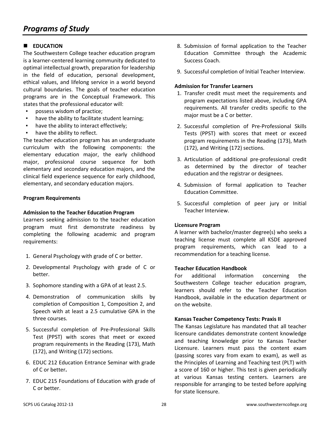## **EDUCATION**

The Southwestern College teacher education program is a learner-centered learning community dedicated to optimal intellectual growth, preparation for leadership in the field of education, personal development, ethical values, and lifelong service in a world beyond cultural boundaries. The goals of teacher education programs are in the Conceptual Framework. This states that the professional educator will:

- possess wisdom of practice;
- have the ability to facilitate student learning;
- have the ability to interact effectively;
- have the ability to reflect.

The teacher education program has an undergraduate curriculum with the following components: the elementary education major, the early childhood major, professional course sequence for both elementary and secondary education majors, and the clinical field experience sequence for early childhood, elementary, and secondary education majors.

#### **Program Requirements**

#### **Admission to the Teacher Education Program**

Learners seeking admission to the teacher education program must first demonstrate readiness by completing the following academic and program requirements:

- 1. General Psychology with grade of C or better.
- 2. Developmental Psychology with grade of C or better.
- 3. Sophomore standing with a GPA of at least 2.5.
- 4. Demonstration of communication skills by completion of Composition 1, Composition 2, and Speech with at least a 2.5 cumulative GPA in the three courses.
- 5. Successful completion of Pre-Professional Skills Test (PPST) with scores that meet or exceed program requirements in the Reading (173), Math (172), and Writing (172) sections.
- 6. EDUC 212 Education Entrance Seminar with grade of C or better**.**
- 7. EDUC 215 Foundations of Education with grade of C or better.
- 8. Submission of formal application to the Teacher Education Committee through the Academic Success Coach.
- 9. Successful completion of Initial Teacher Interview.

#### **Admission for Transfer Learners**

- 1. Transfer credit must meet the requirements and program expectations listed above, including GPA requirements. All transfer credits specific to the major must be a C or better.
- 2. Successful completion of Pre-Professional Skills Tests (PPST) with scores that meet or exceed program requirements in the Reading (173), Math (172), and Writing (172) sections.
- 3. Articulation of additional pre-professional credit as determined by the director of teacher education and the registrar or designees.
- 4. Submission of formal application to Teacher Education Committee.
- 5. Successful completion of peer jury or Initial Teacher Interview.

#### **Licensure Program**

A learner with bachelor/master degree(s) who seeks a teaching license must complete all KSDE approved program requirements, which can lead to a recommendation for a teaching license.

#### **Teacher Education Handbook**

For additional information concerning the Southwestern College teacher education program, learners should refer to the Teacher Education Handbook, available in the education department or on the website.

#### **Kansas Teacher Competency Tests: Praxis II**

The Kansas Legislature has mandated that all teacher licensure candidates demonstrate content knowledge and teaching knowledge prior to Kansas Teacher Licensure. Learners must pass the content exam (passing scores vary from exam to exam), as well as the Principles of Learning and Teaching test (PLT) with a score of 160 or higher. This test is given periodically at various Kansas testing centers. Learners are responsible for arranging to be tested before applying for state licensure.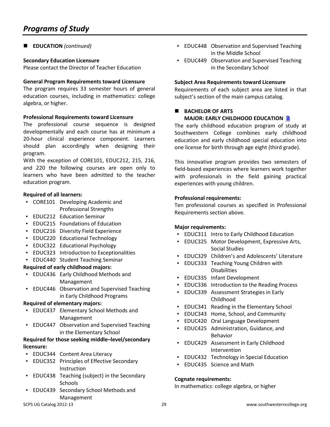## ■ **EDUCATION** (continued)

#### **Secondary Education Licensure**

Please contact the Director of Teacher Education

#### **General Program Requirements toward Licensure**

The program requires 33 semester hours of general education courses, including in mathematics: college algebra, or higher.

#### **Professional Requirements toward Licensure**

The professional course sequence is designed developmentally and each course has at minimum a 20-hour clinical experience component. Learners should plan accordingly when designing their program.

With the exception of CORE101, EDUC212, 215, 216, and 220 the following courses are open only to learners who have been admitted to the teacher education program.

#### **Required of all learners:**

- CORE101 Developing Academic and Professional Strengths
- **EDUC212 Education Seminar**
- EDUC215 Foundations of Education
- **EDUC216 Diversity Field Experience**
- EDUC220 Educational Technology
- EDUC322 Educational Psychology
- EDUC323 Introduction to Exceptionalities
- EDUC440 Student Teaching Seminar

#### **Required of early childhood majors:**

- EDUC436 Early Childhood Methods and Management
- **EDUC446 Observation and Supervised Teaching** in Early Childhood Programs

#### **Required of elementary majors:**

- EDUC437 Elementary School Methods and Management
- EDUC447 Observation and Supervised Teaching in the Elementary School

#### **Required for those seeking middle–level/secondary licensure:**

- EDUC344 Content Area Literacy
- EDUC352 Principles of Effective Secondary Instruction
- EDUC438 Teaching (subject) in the Secondary **Schools**
- EDUC439 Secondary School Methods and Management
- **EDUC448 Observation and Supervised Teaching** in the Middle School
- **EDUC449 Observation and Supervised Teaching** in the Secondary School

#### **Subject Area Requirements toward Licensure**

Requirements of each subject area are listed in that subject's section of the main campus catalog.

#### **BACHELOR OF ARTS MAJOR: EARLY CHILDHOOD EDUCATION B**

The early childhood education program of study at Southwestern College combines early childhood education and early childhood special education into one license for birth through age eight (third grade).

This innovative program provides two semesters of field-based experiences where learners work together with professionals in the field gaining practical experiences with young children.

#### **Professional requirements:**

Ten professional courses as specified in Professional Requirements section above.

#### **Major requirements:**

- EDUC311 Intro to Early Childhood Education
- EDUC325 Motor Development, Expressive Arts, Social Studies
- EDUC329 Children's and Adolescents' Literature
- **EDUC333 Teaching Young Children with** Disabilities
- EDUC335 Infant Development
- EDUC336 Introduction to the Reading Process
- EDUC339 Assessment Strategies in Early Childhood
- EDUC341 Reading in the Elementary School
- EDUC343 Home, School, and Community
- EDUC420 Oral Language Development
- EDUC425 Administration, Guidance, and Behavior
- EDUC429 Assessment in Early Childhood Intervention
- **EDUC432 Technology in Special Education**
- **EDUC435 Science and Math**

#### **Cognate requirements:**

In mathematics: college algebra, or higher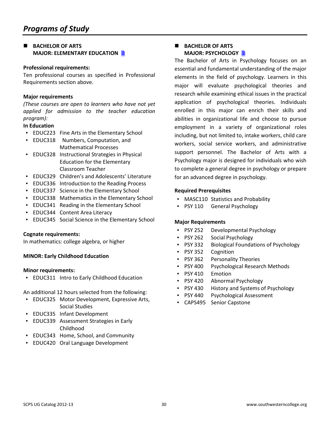#### **BACHELOR OF ARTS MAJOR: ELEMENTARY EDUCATION B**

#### **Professional requirements:**

Ten professional courses as specified in Professional Requirements section above.

#### **Major requirements**

*(These courses are open to learners who have not yet applied for admission to the teacher education program):* 

#### **In Education**

- EDUC223 Fine Arts in the Elementary School
- EDUC318 Numbers, Computation, and Mathematical Processes
- EDUC328 Instructional Strategies in Physical Education for the Elementary Classroom Teacher
- EDUC329 Children's and Adolescents' Literature
- EDUC336 Introduction to the Reading Process
- EDUC337 Science in the Elementary School
- EDUC338 Mathematics in the Elementary School
- EDUC341 Reading in the Elementary School
- **EDUC344 Content Area Literacy**
- EDUC345 Social Science in the Elementary School

#### **Cognate requirements:**

In mathematics: college algebra, or higher

#### **MINOR: Early Childhood Education**

#### **Minor requirements:**

▪ EDUC311 Intro to Early Childhood Education

An additional 12 hours selected from the following:

- EDUC325 Motor Development, Expressive Arts, Social Studies
- EDUC335 Infant Development
- EDUC339 Assessment Strategies in Early Childhood
- EDUC343 Home, School, and Community
- EDUC420 Oral Language Development

#### **BACHELOR OF ARTS MAJOR: PSYCHOLOGY**

The Bachelor of Arts in Psychology focuses on an essential and fundamental understanding of the major elements in the field of psychology. Learners in this major will evaluate psychological theories and research while examining ethical issues in the practical application of psychological theories. Individuals enrolled in this major can enrich their skills and abilities in organizational life and choose to pursue employment in a variety of organizational roles including, but not limited to, intake workers, child care workers, social service workers, and administrative support personnel. The Bachelor of Arts with a Psychology major is designed for individuals who wish to complete a general degree in psychology or prepare for an advanced degree in psychology.

#### **Required Prerequisites**

- MASC110 Statistics and Probability
- PSY 110 General Psychology

#### **Major Requirements**

- PSY 252 Developmental Psychology
- PSY 262 Social Psychology
- PSY 332 Biological Foundations of Psychology
- PSY 352 Cognition
- PSY 362 Personality Theories
- PSY 400 Psychological Research Methods
- PSY 410 Emotion
- PSY 420 Abnormal Psychology
- **PSY 430** History and Systems of Psychology
- PSY 440 Psychological Assessment
- CAPS495 Senior Capstone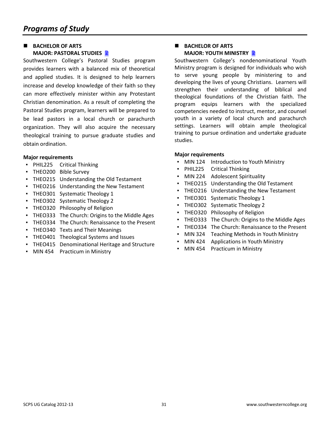## **BACHELOR OF ARTS MAJOR: PASTORAL STUDIES**

Southwestern College's Pastoral Studies program provides learners with a balanced mix of theoretical and applied studies. It is designed to help learners increase and develop knowledge of their faith so they can more effectively minister within any Protestant Christian denomination. As a result of completing the Pastoral Studies program, learners will be prepared to be lead pastors in a local church or parachurch organization. They will also acquire the necessary theological training to pursue graduate studies and obtain ordination.

#### **Major requirements**

- PHIL225 Critical Thinking
- THEO200 Bible Survey
- THEO215 Understanding the Old Testament
- THEO216 Understanding the New Testament
- THEO301 Systematic Theology 1
- THEO302 Systematic Theology 2
- **THEO320 Philosophy of Religion**
- THEO333 The Church: Origins to the Middle Ages
- THEO334 The Church: Renaissance to the Present
- THEO340 Texts and Their Meanings
- THEO401 Theological Systems and Issues
- THEO415 Denominational Heritage and Structure
- MIN 454 Practicum in Ministry

#### **BACHELOR OF ARTS MAJOR: YOUTH MINISTRY**

Southwestern College's nondenominational Youth Ministry program is designed for individuals who wish to serve young people by ministering to and developing the lives of young Christians. Learners will strengthen their understanding of biblical and theological foundations of the Christian faith. The program equips learners with the specialized competencies needed to instruct, mentor, and counsel youth in a variety of local church and parachurch settings. Learners will obtain ample theological training to pursue ordination and undertake graduate studies.

#### **Major requirements**

- MIN 124 Introduction to Youth Ministry
- PHIL225 Critical Thinking
- MIN 224 Adolescent Spirituality
- THEO215 Understanding the Old Testament
- THEO216 Understanding the New Testament
- THEO301 Systematic Theology 1
- THEO302 Systematic Theology 2
- **THEO320 Philosophy of Religion**
- THEO333 The Church: Origins to the Middle Ages
- THEO334 The Church: Renaissance to the Present
- MIN 324 Teaching Methods in Youth Ministry
- MIN 424 Applications in Youth Ministry
- **MIN 454 Practicum in Ministry**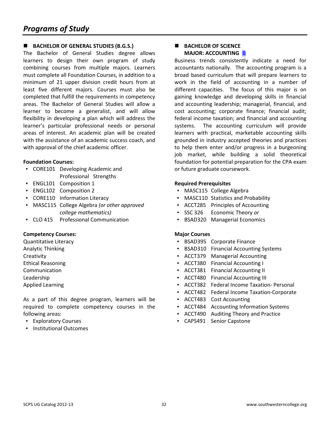## ■ **BACHELOR OF GENERAL STUDIES (B.G.S.)**

The Bachelor of General Studies degree allows learners to design their own program of study combining courses from multiple majors. Learners must complete all Foundation Courses, in addition to a minimum of 21 upper division credit hours from at least five different majors. Courses must also be completed that fulfill the requirements in competency areas. The Bachelor of General Studies will allow a learner to become a generalist, and will allow flexibility in developing a plan which will address the learner's particular professional needs or personal areas of interest. An academic plan will be created with the assistance of an academic success coach, and with approval of the chief academic officer.

#### **Foundation Courses:**

- CORE101 Developing Academic and Professional Strengths
- ENGL101 Composition 1
- ENGL102 Composition 2
- CORE110 Information Literacy
- MASC115 College Algebra *(or other approved college mathematics)*
- CLO 415 Professional Communication

#### **Competency Courses:**

Quantitative Literacy Analytic Thinking **Creativity** Ethical Reasoning Communication Leadership Applied Learning

As a part of this degree program, learners will be required to complete competency courses in the following areas:

- Exploratory Courses
- Institutional Outcomes

#### **BACHELOR OF SCIENCE MAJOR: ACCOUNTING**

Business trends consistently indicate a need for accountants nationally. The accounting program is a broad based curriculum that will prepare learners to work in the field of accounting in a number of different capacities. The focus of this major is on gaining knowledge and developing skills in financial and accounting leadership; managerial, financial, and cost accounting; corporate finance; financial audit; federal income taxation; and financial and accounting systems. The accounting curriculum will provide learners with practical, marketable accounting skills grounded in industry accepted theories and practices to help them enter and/or progress in a burgeoning job market, while building a solid theoretical foundation for potential preparation for the CPA exam or future graduate coursework.

#### **Required Prerequisites**

- MASC115 College Algebra
- MASC110 Statistics and Probability
- ACCT285 Principles of Accounting
- SSC 326 Economic Theory *or*
- BSAD320 Managerial Economics

- BSAD395 Corporate Finance
- BSAD310 Financial Accounting Systems
- ACCT379 Managerial Accounting
- ACCT380 Financial Accounting I
- ACCT381 Financial Accounting II
- ACCT480 Financial Accounting III
- ACCT382 Federal Income Taxation- Personal
- ACCT482 Federal Income Taxation-Corporate
- ACCT483 Cost Accounting
- ACCT484 Accounting Information Systems
- ACCT490 Auditing Theory and Practice
- CAPS491 Senior Capstone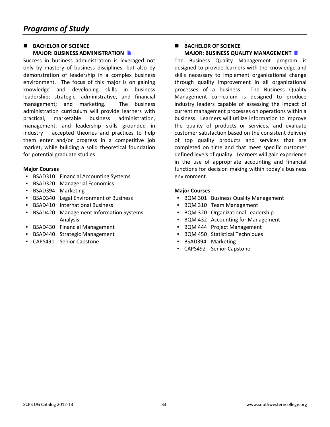## **BACHELOR OF SCIENCE MAJOR: BUSINESS ADMINISTRATION B**

Success in business administration is leveraged not only by mastery of business disciplines, but also by demonstration of leadership in a complex business environment. The focus of this major is on gaining knowledge and developing skills in business leadership; strategic, administrative, and financial management; and marketing. The business administration curriculum will provide learners with practical, marketable business administration, management, and leadership skills grounded in industry – accepted theories and practices to help them enter and/or progress in a competitive job market, while building a solid theoretical foundation for potential graduate studies.

#### **Major Courses**

- BSAD310 Financial Accounting Systems
- BSAD320 Managerial Economics
- BSAD394 Marketing
- BSAD340 Legal Environment of Business
- BSAD410 International Business
- **BSAD420 Management Information Systems** Analysis
- BSAD430 Financial Management
- BSAD440 Strategic Management
- CAPS491 Senior Capstone

#### **BACHELOR OF SCIENCE MAJOR: BUSINESS QUALITY MANAGEMENT**

The Business Quality Management program is designed to provide learners with the knowledge and skills necessary to implement organizational change through quality improvement in all organizational processes of a business. The Business Quality Management curriculum is designed to produce industry leaders capable of assessing the impact of current management processes on operations within a business. Learners will utilize information to improve the quality of products or services, and evaluate customer satisfaction based on the consistent delivery of top quality products and services that are completed on time and that meet specific customer defined levels of quality. Learners will gain experience in the use of appropriate accounting and financial functions for decision making within today's business environment.

- BQM 301 Business Quality Management
- BQM 310 Team Management
- BQM 320 Organizational Leadership
- BQM 432 Accounting for Management
- BQM 444 Project Management
- BQM 450 Statistical Techniques
- BSAD394 Marketing
- CAPS492 Senior Capstone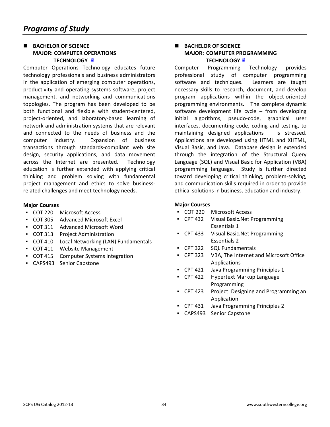#### **BACHELOR OF SCIENCE MAJOR: COMPUTER OPERATIONS TECHNOLOGY**

Computer Operations Technology educates future technology professionals and business administrators in the application of emerging computer operations, productivity and operating systems software, project management, and networking and communications topologies. The program has been developed to be both functional and flexible with student-centered, project-oriented, and laboratory-based learning of network and administration systems that are relevant and connected to the needs of business and the computer industry. Expansion of business transactions through standards-compliant web site design, security applications, and data movement across the Internet are presented. Technology education is further extended with applying critical thinking and problem solving with fundamental project management and ethics to solve businessrelated challenges and meet technology needs.

#### **Major Courses**

- COT 220 Microsoft Access
- COT 305 Advanced Microsoft Excel
- COT 311 Advanced Microsoft Word
- COT 313 Project Administration
- COT 410 Local Networking (LAN) Fundamentals
- COT 411 Website Management
- COT 415 Computer Systems Integration
- CAPS493 Senior Capstone

#### **BACHELOR OF SCIENCE MAJOR: COMPUTER PROGRAMMING TECHNOLOGY A**

Computer Programming Technology provides professional study of computer programming software and techniques. Learners are taught necessary skills to research, document, and develop program applications within the object-oriented programming environments. The complete dynamic software development life cycle – from developing initial algorithms, pseudo-code, graphical user interfaces, documenting code, coding and testing, to maintaining designed applications – is stressed. Applications are developed using HTML and XHTML, Visual Basic, and Java. Database design is extended through the integration of the Structural Query Language (SQL) and Visual Basic for Application (VBA) programming language. Study is further directed toward developing critical thinking, problem-solving, and communication skills required in order to provide ethical solutions in business, education and industry.

- COT 220 Microsoft Access
- CPT 432 Visual Basic.Net Programming Essentials 1
- CPT 433 Visual Basic.Net Programming Essentials 2
- CPT 322 SQL Fundamentals
- CPT 323 VBA, The Internet and Microsoft Office Applications
- CPT 421 Java Programming Principles 1
- CPT 422 Hypertext Markup Language Programming
- CPT 423 Project: Designing and Programming an Application
- CPT 431 Java Programming Principles 2
- CAPS493 Senior Capstone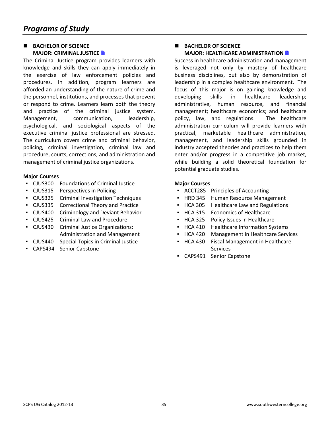### **BACHELOR OF SCIENCE MAJOR: CRIMINAL JUSTICE**

The Criminal Justice program provides learners with knowledge and skills they can apply immediately in the exercise of law enforcement policies and procedures. In addition, program learners are afforded an understanding of the nature of crime and the personnel, institutions, and processes that prevent or respond to crime. Learners learn both the theory and practice of the criminal justice system. Management, communication, leadership, psychological, and sociological aspects of the executive criminal justice professional are stressed. The curriculum covers crime and criminal behavior, policing, criminal investigation, criminal law and procedure, courts, corrections, and administration and management of criminal justice organizations.

#### **Major Courses**

- CJUS300 Foundations of Criminal Justice
- CJUS315 Perspectives in Policing
- CJUS325 Criminal Investigation Techniques
- CJUS335 Correctional Theory and Practice
- CJUS400 Criminology and Deviant Behavior
- CJUS425 Criminal Law and Procedure
- CJUS430 Criminal Justice Organizations: Administration and Management
- CJUS440 Special Topics in Criminal Justice
- CAPS494 Senior Capstone

### **BACHELOR OF SCIENCE MAJOR: HEALTHCARE ADMINISTRATION**

Success in healthcare administration and management is leveraged not only by mastery of healthcare business disciplines, but also by demonstration of leadership in a complex healthcare environment. The focus of this major is on gaining knowledge and developing skills in healthcare leadership; administrative, human resource, and financial management; healthcare economics; and healthcare policy, law, and regulations. The healthcare administration curriculum will provide learners with practical, marketable healthcare administration, management, and leadership skills grounded in industry accepted theories and practices to help them enter and/or progress in a competitive job market, while building a solid theoretical foundation for potential graduate studies.

- ACCT285 Principles of Accounting
- HRD 345 Human Resource Management
- HCA 305 Healthcare Law and Regulations
- HCA 315 Economics of Healthcare
- HCA 325 Policy Issues in Healthcare
- HCA 410 Healthcare Information Systems
- HCA 420 Management in Healthcare Services
- HCA 430 Fiscal Management in Healthcare Services
- CAPS491 Senior Capstone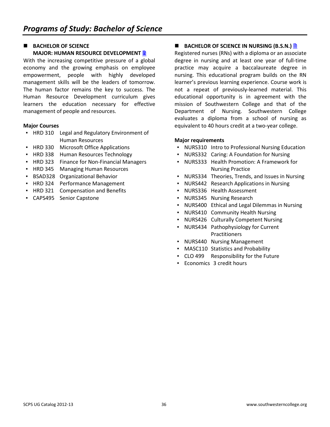### **BACHELOR OF SCIENCE MAJOR: HUMAN RESOURCE DEVELOPMENT B**

With the increasing competitive pressure of a global economy and the growing emphasis on employee empowerment, people with highly developed management skills will be the leaders of tomorrow. The human factor remains the key to success. The Human Resource Development curriculum gives learners the education necessary for effective management of people and resources.

#### **Major Courses**

- HRD 310 Legal and Regulatory Environment of Human Resources
- **HRD 330 Microsoft Office Applications**
- HRD 338 Human Resources Technology
- HRD 323 Finance for Non-Financial Managers
- HRD 345 Managing Human Resources
- BSAD328 Organizational Behavior
- HRD 324 Performance Management
- **HRD 321 Compensation and Benefits**
- CAPS495 Senior Capstone

## ■ BACHELOR OF SCIENCE IN NURSING (B.S.N.) <u>■</u>

Registered nurses (RNs) with a diploma or an associate degree in nursing and at least one year of full-time practice may acquire a baccalaureate degree in nursing. This educational program builds on the RN learner's previous learning experience. Course work is not a repeat of previously-learned material. This educational opportunity is in agreement with the mission of Southwestern College and that of the Department of Nursing. Southwestern College evaluates a diploma from a school of nursing as equivalent to 40 hours credit at a two-year college.

#### **Major requirements**

- NURS310 Intro to Professional Nursing Education
- NURS332 Caring: A Foundation for Nursing
- NURS333 Health Promotion: A Framework for Nursing Practice
- NURS334 Theories, Trends, and Issues in Nursing
- NURS442 Research Applications in Nursing
- NURS336 Health Assessment
- NURS345 Nursing Research
- NURS400 Ethical and Legal Dilemmas in Nursing
- NURS410 Community Health Nursing
- NURS426 Culturally Competent Nursing
- NURS434 Pathophysiology for Current Practitioners
- NURS440 Nursing Management
- MASC110 Statistics and Probability
- CLO 499 Responsibility for the Future
- Economics 3 credit hours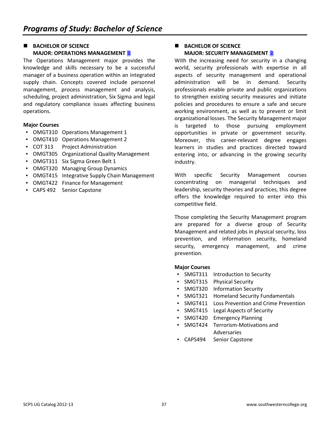## **BACHELOR OF SCIENCE MAJOR: OPERATIONS MANAGEMENT <b>B**

The Operations Management major provides the knowledge and skills necessary to be a successful manager of a business operation within an integrated supply chain. Concepts covered include personnel management, process management and analysis, scheduling, project administration, Six Sigma and legal and regulatory compliance issues affecting business operations.

#### **Major Courses**

- OMGT310 Operations Management 1
- OMGT410 Operations Management 2
- COT 313 Project Administration
- OMGT305 Organizational Quality Management
- OMGT311 Six Sigma Green Belt 1
- OMGT320 Managing Group Dynamics
- OMGT415 Integrative Supply Chain Management
- OMGT422 Finance for Management
- CAPS 492 Senior Capstone

#### **BACHELOR OF SCIENCE MAJOR: SECURITY MANAGEMENT**

With the increasing need for security in a changing world, security professionals with expertise in all aspects of security management and operational administration will be in demand. Security professionals enable private and public organizations to strengthen existing security measures and initiate policies and procedures to ensure a safe and secure working environment, as well as to prevent or limit organizational losses. The Security Management major is targeted to those pursuing employment opportunities in private or government security. Moreover, this career-relevant degree engages learners in studies and practices directed toward entering into, or advancing in the growing security industry.

With specific Security Management courses concentrating on managerial techniques and leadership, security theories and practices, this degree offers the knowledge required to enter into this competitive field.

Those completing the Security Management program are prepared for a diverse group of Security Management and related jobs in physical security, loss prevention, and information security, homeland security, emergency management, and crime prevention.

- SMGT311 Introduction to Security
- SMGT315 Physical Security
- SMGT320 Information Security
- SMGT321 Homeland Security Fundamentals
- SMGT411 Loss Prevention and Crime Prevention
- SMGT415 Legal Aspects of Security
- SMGT420 Emergency Planning
- SMGT424 Terrorism-Motivations and Adversaries
- CAPS494 Senior Capstone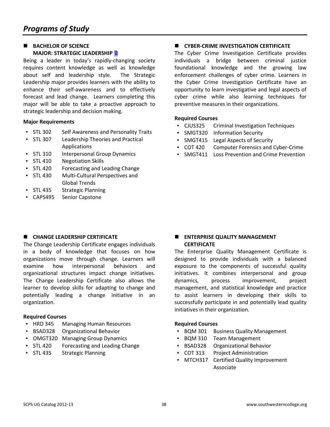## **BACHELOR OF SCIENCE MAJOR: STRATEGIC LEADERSHIP**

Being a leader in today's rapidly-changing society requires content knowledge as well as knowledge about self and leadership style. The Strategic Leadership major provides learners with the ability to enhance their self-awareness and to effectively forecast and lead change. Learners completing this major will be able to take a proactive approach to strategic leadership and decision making.

#### **Major Requirements**

- STL 302 Self Awareness and Personality Traits
- STL 307 Leadership Theories and Practical Applications
- **STL 310 Interpersonal Group Dynamics**
- STL 410 Negotiation Skills
- **STL 420 Forecasting and Leading Change**
- STL 430 Multi-Cultural Perspectives and Global Trends
- STL 435 Strategic Planning
- CAPS495 Senior Capstone

## **E** CHANGE LEADERSHIP CERTIFICATE

The Change Leadership Certificate engages individuals in a body of knowledge that focuses on how organizations move through change. Learners will examine how interpersonal behaviors and organizational structures impact change initiatives. The Change Leadership Certificate also allows the learner to develop skills for adapting to change and potentially leading a change initiative in an organization.

#### **Required Courses**

- HRD 345 Managing Human Resources
- BSAD328 Organizational Behavior
- OMGT320 Managing Group Dynamics
- STL 420 Forecasting and Leading Change
- STL 435 Strategic Planning

## **E** CYBER-CRIME INVESTIGATION CERTIFICATE

The Cyber Crime Investigation Certificate provides individuals a bridge between criminal justice foundational knowledge and the growing law enforcement challenges of cyber crime. Learners in the Cyber Crime Investigation Certificate have an opportunity to learn investigative and legal aspects of cyber crime while also learning techniques for preventive measures in their organizations.

#### **Required Courses**

- CJUS325 Criminal Investigation Techniques
- SMGT320 Information Security
- SMGT415 Legal Aspects of Security
- COT 420 Computer Forensics and Cyber-Crime
- **SMGT411 Loss Prevention and Crime Prevention**

#### **ENTERPRISE QUALITY MANAGEMENT CERTIFICATE**

The Enterprise Quality Management Certificate is designed to provide individuals with a balanced exposure to the components of successful quality initiatives. It combines interpersonal and group dynamics, process improvement, project management, and statistical knowledge and practice to assist learners in developing their skills to successfully participate in and potentially lead quality initiatives in their organization.

#### **Required Courses**

- BQM 301 Business Quality Management
- **BQM 310 Team Management**
- BSAD328 Organizational Behavior
- COT 313 Project Administration
- MTCH317 Certified Quality Improvement Associate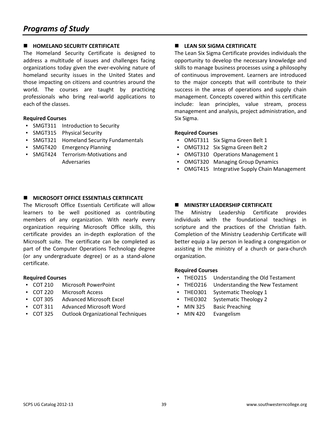## **E** HOMELAND SECURITY CERTIFICATE

The Homeland Security Certificate is designed to address a multitude of issues and challenges facing organizations today given the ever-evolving nature of homeland security issues in the United States and those impacting on citizens and countries around the world. The courses are taught by practicing professionals who bring real-world applications to each of the classes.

#### **Required Courses**

- SMGT311 Introduction to Security
- SMGT315 Physical Security
- SMGT321 Homeland Security Fundamentals
- SMGT420 Emergency Planning
- SMGT424 Terrorism-Motivations and Adversaries

## $\blacksquare$  MICROSOFT OFFICE ESSENTIALS CERTIFICATE

The Microsoft Office Essentials Certificate will allow learners to be well positioned as contributing members of any organization. With nearly every organization requiring Microsoft Office skills, this certificate provides an in-depth exploration of the Microsoft suite. The certificate can be completed as part of the Computer Operations Technology degree (or any undergraduate degree) or as a stand-alone certificate.

#### **Required Courses**

- COT 210 Microsoft PowerPoint
- COT 220 Microsoft Access
- COT 305 Advanced Microsoft Excel
- COT 311 Advanced Microsoft Word
- COT 325 Outlook Organizational Techniques

## **E** LEAN SIX SIGMA CERTIFICATE

The Lean Six Sigma Certificate provides individuals the opportunity to develop the necessary knowledge and skills to manage business processes using a philosophy of continuous improvement. Learners are introduced to the major concepts that will contribute to their success in the areas of operations and supply chain management. Concepts covered within this certificate include: lean principles, value stream, process management and analysis, project administration, and Six Sigma.

#### **Required Courses**

- OMGT311 Six Sigma Green Belt 1
- OMGT312 Six Sigma Green Belt 2
- OMGT310 Operations Management 1
- OMGT320 Managing Group Dynamics
- OMGT415 Integrative Supply Chain Management

#### $\blacksquare$  MINISTRY LEADERSHIP CERTIFICATE

The Ministry Leadership Certificate provides individuals with the foundational teachings in scripture and the practices of the Christian faith. Completion of the Ministry Leadership Certificate will better equip a lay person in leading a congregation or assisting in the ministry of a church or para-church organization.

#### **Required Courses**

- THEO215 Understanding the Old Testament
- **THEO216** Understanding the New Testament
- THEO301 Systematic Theology 1
- THEO302 Systematic Theology 2
- MIN 325 Basic Preaching
- MIN 420 Evangelism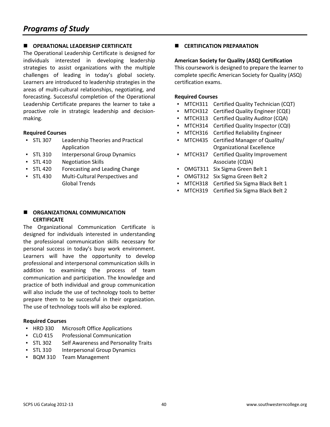## $\blacksquare$  OPERATIONAL LEADERSHIP CERTIFICATE

The Operational Leadership Certificate is designed for individuals interested in developing leadership strategies to assist organizations with the multiple challenges of leading in today's global society. Learners are introduced to leadership strategies in the areas of multi-cultural relationships, negotiating, and forecasting. Successful completion of the Operational Leadership Certificate prepares the learner to take a proactive role in strategic leadership and decisionmaking.

#### **Required Courses**

- STL 307 Leadership Theories and Practical Application
- **STL 310 Interpersonal Group Dynamics**
- STL 410 Negotiation Skills
- STL 420 Forecasting and Leading Change
- STL 430 Multi-Cultural Perspectives and Global Trends

#### **E** ORGANIZATIONAL COMMUNICATION **CERTIFICATE**

The Organizational Communication Certificate is designed for individuals interested in understanding the professional communication skills necessary for personal success in today's busy work environment. Learners will have the opportunity to develop professional and interpersonal communication skills in addition to examining the process of team communication and participation. The knowledge and practice of both individual and group communication will also include the use of technology tools to better prepare them to be successful in their organization. The use of technology tools will also be explored.

#### **Required Courses**

- HRD 330 Microsoft Office Applications
- CLO 415 Professional Communication
- STL 302 Self Awareness and Personality Traits
- STL 310 Interpersonal Group Dynamics
- BQM 310 Team Management

**E** CERTIFICATION PREPARATION

#### **American Society for Quality (ASQ) Certification**

This coursework is designed to prepare the learner to complete specific American Society for Quality (ASQ) certification exams.

#### **Required Courses**

- MTCH311 Certified Quality Technician (CQT)
- MTCH312 Certified Quality Engineer (CQE)
- MTCH313 Certified Quality Auditor (CQA)
- MTCH314 Certified Quality Inspector (CQI)
- MTCH316 Certified Reliability Engineer
- MTCH435 Certified Manager of Quality/ Organizational Excellence
- MTCH317 Certified Quality Improvement Associate (CQIA)
- OMGT311 Six Sigma Green Belt 1
- OMGT312 Six Sigma Green Belt 2
- MTCH318 Certified Six Sigma Black Belt 1
- MTCH319 Certified Six Sigma Black Belt 2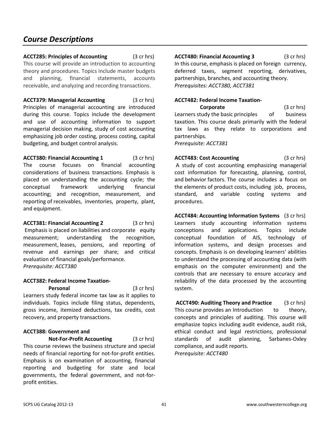## *Course Descriptions*

**ACCT285: Principles of Accounting** (3 cr hrs) This course will provide an introduction to accounting theory and procedures. Topics include master budgets and planning, financial statements, accounts receivable, and analyzing and recording transactions.

**ACCT379: Managerial Accounting** (3 cr hrs) Principles of managerial accounting are introduced during this course. Topics include the development and use of accounting information to support managerial decision making, study of cost accounting emphasizing job order costing, process costing, capital budgeting, and budget control analysis.

**ACCT380: Financial Accounting 1** (3 cr hrs) The course focuses on financial accounting considerations of business transactions. Emphasis is placed on understanding the accounting cycle; the conceptual framework underlying financial accounting; and recognition, measurement, and reporting of receivables, inventories, property, plant, and equipment.

**ACCT381: Financial Accounting 2** (3 cr hrs) Emphasis is placed on liabilities and corporate equity measurement; understanding the recognition, measurement, leases, pensions, and reporting of revenue and earnings per share; and critical evaluation of financial goals/performance. *Prerequisite: ACCT380* 

#### **ACCT382: Federal Income Taxation-**

 **Personal** (3 cr hrs) Learners study federal income tax law as it applies to individuals. Topics include filing status, dependents, gross income, itemized deductions, tax credits, cost recovery, and property transactions.

#### **ACCT388: Government and**

**Not-For-Profit Accounting** (3 cr hrs) This course reviews the business structure and special needs of financial reporting for not-for-profit entities. Emphasis is on examination of accounting, financial reporting and budgeting for state and local governments, the federal government, and not-forprofit entities.

**ACCT480: Financial Accounting 3** (3 cr hrs) In this course, emphasis is placed on foreign currency, deferred taxes, segment reporting, derivatives, partnerships, branches, and accounting theory. *Prerequisites: ACCT380, ACCT381*

#### **ACCT482: Federal Income Taxation-**

**Corporate** (3 cr hrs) Learners study the basic principles of business taxation. This course deals primarily with the federal tax laws as they relate to corporations and partnerships. *Prerequisite: ACCT381*

**ACCT483: Cost Accounting** (3 cr hrs) A study of cost accounting emphasizing managerial cost information for forecasting, planning, control, and behavior factors. The course includes a focus on the elements of product costs, including job, process, standard, and variable costing systems and procedures.

**ACCT484: Accounting Information Systems** (3 cr hrs) Learners study accounting information systems conceptions and applications. Topics include conceptual foundation of AIS, technology of information systems, and design processes and concepts. Emphasis is on developing learners' abilities to understand the processing of accounting data (with emphasis on the computer environment) and the controls that are necessary to ensure accuracy and reliability of the data processed by the accounting system.

**ACCT490: Auditing Theory and Practice** (3 cr hrs) This course provides an Introduction to theory, concepts and principles of auditing. This course will emphasize topics including audit evidence, audit risk, ethical conduct and legal restrictions, professional standards of audit planning, Sarbanes-Oxley compliance, and audit reports. *Prerequisite: ACCT480*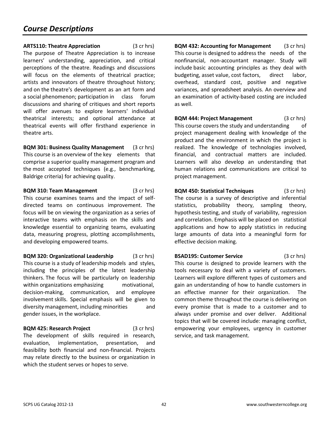**ARTS110: Theatre Appreciation** (3 cr hrs) The purpose of Theatre Appreciation is to increase learners' understanding, appreciation, and critical perceptions of the theatre. Readings and discussions will focus on the elements of theatrical practice; artists and innovators of theatre throughout history; and on the theatre's development as an art form and a social phenomenon; participation in class forum discussions and sharing of critiques and short reports will offer avenues to explore learners' individual theatrical interests; and optional attendance at theatrical events will offer firsthand experience in theatre arts.

**BQM 301: Business Quality Management** (3 cr hrs) This course is an overview of the key elements that comprise a superior quality management program and the most accepted techniques (e.g., benchmarking, Baldrige criteria) for achieving quality.

**BQM 310: Team Management** (3 cr hrs) This course examines teams and the impact of selfdirected teams on continuous improvement. The focus will be on viewing the organization as a series of interactive teams with emphasis on the skills and knowledge essential to organizing teams, evaluating data, measuring progress, plotting accomplishments, and developing empowered teams.

**BQM 320: Organizational Leadership** (3 cr hrs) This course is a study of leadership models and styles, including the principles of the latest leadership thinkers. The focus will be particularly on leadership within organizations emphasizing motivational, decision-making, communication, and employee involvement skills. Special emphasis will be given to diversity management, including minorities and gender issues, in the workplace.

**BQM 425: Research Project** (3 cr hrs) The development of skills required in research, evaluation, implementation, presentation, and feasibility both financial and non-financial. Projects may relate directly to the business or organization in which the student serves or hopes to serve.

**BQM 432: Accounting for Management** (3 cr hrs) This course is designed to address the needs of the nonfinancial, non-accountant manager. Study will include basic accounting principles as they deal with budgeting, asset value, cost factors, direct labor, overhead, standard cost, positive and negative variances, and spreadsheet analysis. An overview and an examination of activity-based costing are included as well.

**BQM 444: Project Management** (3 cr hrs) This course covers the study and understanding of project management dealing with knowledge of the product and the environment in which the project is realized. The knowledge of technologies involved, financial, and contractual matters are included. Learners will also develop an understanding that human relations and communications are critical to project management.

**BQM 450: Statistical Techniques** (3 cr hrs) The course is a survey of descriptive and inferential statistics, probability theory, sampling theory, hypothesis testing, and study of variability, regression and correlation. Emphasis will be placed on statistical applications and how to apply statistics in reducing large amounts of data into a meaningful form for effective decision making.

**BSAD195: Customer Service** (3 cr hrs) This course is designed to provide learners with the tools necessary to deal with a variety of customers. Learners will explore different types of customers and gain an understanding of how to handle customers in an effective manner for their organization. The common theme throughout the course is delivering on every promise that is made to a customer and to always under promise and over deliver. Additional topics that will be covered include: managing conflict, empowering your employees, urgency in customer service, and task management.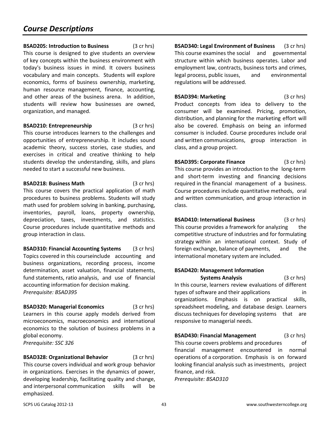**BSAD205: Introduction to Business** (3 cr hrs) This course is designed to give students an overview of key concepts within the business environment with today's business issues in mind. It covers business vocabulary and main concepts. Students will explore economics, forms of business ownership, marketing, human resource management, finance, accounting, and other areas of the business arena. In addition, students will review how businesses are owned, organization, and managed.

## **BSAD210: Entrepreneurship** (3 cr hrs)

This course introduces learners to the challenges and opportunities of entrepreneurship. It includes sound academic theory, success stories, case studies, and exercises in critical and creative thinking to help students develop the understanding, skills, and plans needed to start a successful new business.

#### **BSAD218: Business Math** (3 cr hrs)

This course covers the practical application of math procedures to business problems. Students will study math used for problem solving in banking, purchasing, inventories, payroll, loans, property ownership, depreciation, taxes, investments, and statistics. Course procedures include quantitative methods and group interaction in class.

**BSAD310: Financial Accounting Systems** (3 cr hrs) Topics covered in this courseinclude accounting and business organizations, recording process, income determination, asset valuation, financial statements, fund statements, ratio analysis, and use of financial accounting information for decision making. *Prerequisite: BSAD395* 

**BSAD320: Managerial Economics** (3 cr hrs) Learners in this course apply models derived from microeconomics, macroeconomics and international economics to the solution of business problems in a global economy. *Prerequisite: SSC 326*

**BSAD328: Organizational Behavior** (3 cr hrs) This course covers individual and work group behavior in organizations. Exercises in the dynamics of power, developing leadership, facilitating quality and change, and interpersonal communication skills will be emphasized.

**BSAD340: Legal Environment of Business** (3 cr hrs) This course examines the social and governmental structure within which business operates. Labor and employment law, contracts, business torts and crimes, legal process, public issues, and environmental regulations will be addressed.

**BSAD394: Marketing** (3 cr hrs) Product concepts from idea to delivery to the consumer will be examined. Pricing, promotion, distribution, and planning for the marketing effort will also be covered. Emphasis on being an informed consumer is included. Course procedures include oral and written communications, group interaction in class, and a group project.

**BSAD395: Corporate Finance** (3 cr hrs) This course provides an introduction to the long-term and short-term investing and financing decisions required in the financial management of a business. Course procedures include quantitative methods, oral and written communication, and group interaction in class.

**BSAD410: International Business** (3 cr hrs) This course provides a framework for analyzing the competitive structure of industries and for formulating strategy within an international context. Study of foreign exchange, balance of payments, and the international monetary system are included.

#### **BSAD420: Management Information**

**Systems Analysis** (3 cr hrs) In this course, learners review evaluations of different types of software and their applications in organizations. Emphasis is on practical skills, spreadsheet modeling, and database design. Learners discuss techniques for developing systems that are responsive to managerial needs.

**BSAD430: Financial Management** (3 cr hrs) This course covers problems and procedures of financial management encountered in normal operations of a corporation. Emphasis is on forward looking financial analysis such as investments, project finance, and risk.

*Prerequisite: BSAD310*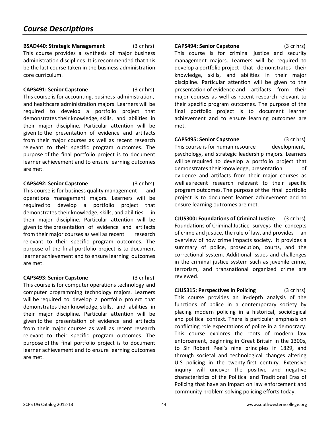**BSAD440: Strategic Management** (3 cr hrs) This course provides a synthesis of major business administration disciplines. It is recommended that this be the last course taken in the business administration core curriculum.

**CAPS491: Senior Capstone** (3 cr hrs) This course is for accounting, business administration, and healthcare administration majors. Learners will be required to develop a portfolio project that demonstrates their knowledge, skills, and abilities in their major discipline. Particular attention will be given to the presentation of evidence and artifacts from their major courses as well as recent research relevant to their specific program outcomes. The purpose of the final portfolio project is to document learner achievement and to ensure learning outcomes are met.

**CAPS492: Senior Capstone** (3 cr hrs)

This course is for business quality management and operations management majors. Learners will be required to develop a portfolio project that demonstrates their knowledge, skills, and abilities in their major discipline. Particular attention will be given to the presentation of evidence and artifacts from their major courses as well as recent research relevant to their specific program outcomes. The purpose of the final portfolio project is to document learner achievement and to ensure learning outcomes are met.

**CAPS493: Senior Capstone** (3 cr hrs) This course is for computer operations technology and computer programming technology majors. Learners will be required to develop a portfolio project that demonstrates their knowledge, skills, and abilities in their major discipline. Particular attention will be given to the presentation of evidence and artifacts from their major courses as well as recent research relevant to their specific program outcomes. The purpose of the final portfolio project is to document learner achievement and to ensure learning outcomes are met.

**CAPS494: Senior Capstone** (3 cr hrs) This course is for criminal justice and security management majors. Learners will be required to develop a portfolio project that demonstrates their knowledge, skills, and abilities in their major discipline. Particular attention will be given to the presentation of evidence and artifacts from their major courses as well as recent research relevant to their specific program outcomes. The purpose of the final portfolio project is to document learner achievement and to ensure learning outcomes are met.

**CAPS495: Senior Capstone** (3 cr hrs) This course is for human resource development, psychology, and strategic leadership majors. Learners will be required to develop a portfolio project that demonstrates their knowledge, presentation of evidence and artifacts from their major courses as well as recent research relevant to their specific program outcomes. The purpose of the final portfolio project is to document learner achievement and to ensure learning outcomes are met.

**CJUS300: Foundations of Criminal Justice** (3 cr hrs) Foundations of Criminal Justice surveys the concepts of crime and justice, the rule of law, and provides an overview of how crime impacts society. It provides a summary of police, prosecution, courts, and the correctional system. Additional issues and challenges in the criminal justice system such as juvenile crime, terrorism, and transnational organized crime are reviewed.

**CJUS315: Perspectives in Policing** (3 cr hrs) This course provides an in-depth analysis of the functions of police in a contemporary society by placing modern policing in a historical, sociological and political context. There is particular emphasis on conflicting role expectations of police in a democracy. This course explores the roots of modern law enforcement, beginning in Great Britain in the 1300s, to Sir Robert Peel's nine principles in 1829, and through societal and technological changes altering U.S policing in the twenty-first century. Extensive inquiry will uncover the positive and negative characteristics of the Political and Traditional Eras of Policing that have an impact on law enforcement and community problem solving policing efforts today.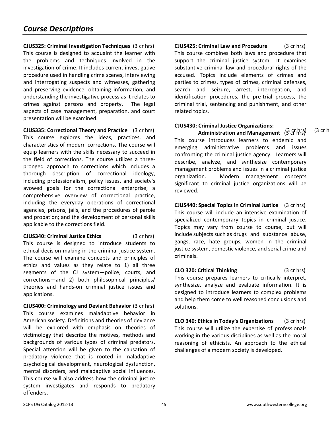**CJUS325: Criminal Investigation Techniques** (3 cr hrs) This course is designed to acquaint the learner with the problems and techniques involved in the investigation of crime. It includes current investigative procedure used in handling crime scenes, interviewing and interrogating suspects and witnesses, gathering and preserving evidence, obtaining information, and understanding the investigative process as it relates to crimes against persons and property. The legal aspects of case management, preparation, and court presentation will be examined.

**CJUS335: Correctional Theory and Practice** (3 cr hrs) **(3 cr hrs)** (3 cr hrs) (3 cr h This course explores the ideas, practices, and characteristics of modern corrections. The course will equip learners with the skills necessary to succeed in the field of corrections. The course utilizes a threepronged approach to corrections which includes a thorough description of correctional ideology, including professionalism, policy issues, and society's avowed goals for the correctional enterprise; a comprehensive overview of correctional practice, including the everyday operations of correctional agencies, prisons, jails, and the procedures of parole and probation; and the development of personal skills applicable to the corrections field.

**CJUS340: Criminal Justice Ethics** (3 cr hrs) This course is designed to introduce students to ethical decision-making in the criminal justice system. The course will examine concepts and principles of ethics and values as they relate to 1) all three segments of the CJ system—police, courts, and corrections—and 2) both philosophical principles/ theories and hands-on criminal justice issues and applications.

**CJUS400: Criminology and Deviant Behavior** (3 cr hrs) This course examines maladaptive behavior in American society. Definitions and theories of deviance will be explored with emphasis on theories of victimology that describe the motives, methods and backgrounds of various types of criminal predators. Special attention will be given to the causation of predatory violence that is rooted in maladaptive psychological development, neurological dysfunction, mental disorders, and maladaptive social influences. This course will also address how the criminal justice system investigates and responds to predatory offenders.

**CJUS425: Criminal Law and Procedure** (3 cr hrs) This course combines both laws and procedure that support the criminal justice system. It examines substantive criminal law and procedural rights of the accused. Topics include elements of crimes and parties to crimes, types of crimes, criminal defenses, search and seizure, arrest, interrogation, and identification procedures, the pre-trial process, the criminal trial, sentencing and punishment, and other related topics.

#### **CJUS430: Criminal Justice Organizations:**

 **Administration and Management** (3 cr hrs) This course introduces learners to endemic and emerging administrative problems and issues confronting the criminal justice agency. Learners will describe, analyze, and synthesize contemporary management problems and issues in a criminal justice organization. Modern management concepts significant to criminal justice organizations will be reviewed.

**CJUS440: Special Topics in Criminal Justice** (3 cr hrs) This course will include an intensive examination of specialized contemporary topics in criminal justice. Topics may vary from course to course, but will include subjects such as drugs and substance abuse, gangs, race, hate groups, women in the criminal justice system, domestic violence, and serial crime and criminals.

**CLO 320: Critical Thinking** (3 cr hrs) This course prepares learners to critically interpret, synthesize, analyze and evaluate information. It is designed to introduce learners to complex problems and help them come to well reasoned conclusions and solutions.

**CLO 340: Ethics in Today's Organizations** (3 cr hrs) This course will utilize the expertise of professionals working in the various disciplines as well as the moral reasoning of ethicists. An approach to the ethical challenges of a modern society is developed.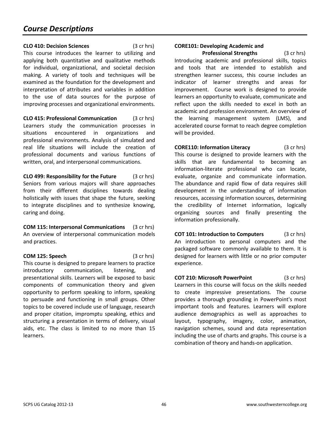**CLO 410: Decision Sciences** (3 cr hrs) This course introduces the learner to utilizing and applying both quantitative and qualitative methods for individual, organizational, and societal decision making. A variety of tools and techniques will be examined as the foundation for the development and interpretation of attributes and variables in addition to the use of data sources for the purpose of improving processes and organizational environments.

**CLO 415: Professional Communication** (3 cr hrs) Learners study the communication processes in situations encountered in organizations and professional environments. Analysis of simulated and real life situations will include the creation of professional documents and various functions of written, oral, and interpersonal communications.

**CLO 499: Responsibility for the Future** (3 cr hrs) Seniors from various majors will share approaches from their different disciplines towards dealing holistically with issues that shape the future, seeking to integrate disciplines and to synthesize knowing, caring and doing.

**COM 115: Interpersonal Communications** (3 cr hrs) An overview of interpersonal communication models and practices.

**COM 125: Speech** (3 cr hrs) This course is designed to prepare learners to practice introductory communication, listening, and presentational skills. Learners will be exposed to basic components of communication theory and given opportunity to perform speaking to inform, speaking to persuade and functioning in small groups. Other topics to be covered include use of language, research and proper citation, impromptu speaking, ethics and structuring a presentation in terms of delivery, visual aids, etc. The class is limited to no more than 15 learners.

## **CORE101: Developing Academic and**

**Professional Strengths** (3 cr hrs) Introducing academic and professional skills, topics and tools that are intended to establish and strengthen learner success, this course includes an indicator of learner strengths and areas for improvement. Course work is designed to provide learners an opportunity to evaluate, communicate and reflect upon the skills needed to excel in both an academic and profession environment. An overview of the learning management system (LMS), and accelerated course format to reach degree completion will be provided.

**CORE110: Information Literacy** (3 cr hrs) This course is designed to provide learners with the skills that are fundamental to becoming an information-literate professional who can locate, evaluate, organize and communicate information. The abundance and rapid flow of data requires skill development in the understanding of information resources, accessing information sources, determining the credibility of Internet information, logically organizing sources and finally presenting the information professionally.

**COT 101: Introduction to Computers** (3 cr hrs) An introduction to personal computers and the packaged software commonly available to them. It is designed for learners with little or no prior computer experience.

**COT 210: Microsoft PowerPoint** (3 cr hrs) Learners in this course will focus on the skills needed to create impressive presentations. The course provides a thorough grounding in PowerPoint's most important tools and features. Learners will explore audience demographics as well as approaches to layout, typography, imagery, color, animation, navigation schemes, sound and data representation including the use of charts and graphs. This course is a combination of theory and hands-on application.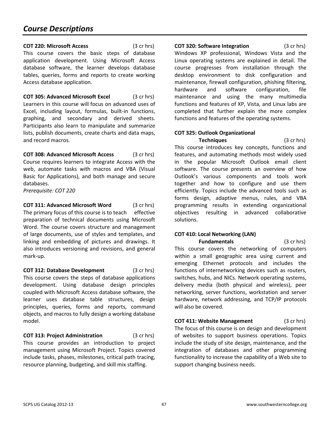**COT 220: Microsoft Access** (3 cr hrs) This course covers the basic steps of database application development. Using Microsoft Access database software, the learner develops database tables, queries, forms and reports to create working Access database application.

**COT 305: Advanced Microsoft Excel** (3 cr hrs) Learners in this course will focus on advanced uses of Excel, including layout, formulas, built-in functions, graphing, and secondary and derived sheets. Participants also learn to manipulate and summarize lists, publish documents, create charts and data maps, and record macros.

**COT 308: Advanced Microsoft Access** (3 cr hrs) Course requires learners to integrate Access with the web, automate tasks with macros and VBA (Visual Basic for Applications), and both manage and secure databases.

*Prerequisite: COT 220* 

**COT 311: Advanced Microsoft Word** (3 cr hrs) The primary focus of this course is to teach effective preparation of technical documents using Microsoft Word. The course covers structure and management of large documents, use of styles and templates, and linking and embedding of pictures and drawings. It also introduces versioning and revisions, and general mark-up.

**COT 312: Database Development** (3 cr hrs) This course covers the steps of database applications development. Using database design principles coupled with Microsoft Access database software, the learner uses database table structures, design principles, queries, forms and reports, command objects, and macros to fully design a working database model.

**COT 313: Project Administration** (3 cr hrs) This course provides an introduction to project management using Microsoft Project. Topics covered include tasks, phases, milestones, critical path tracing, resource planning, budgeting, and skill mix staffing.

**COT 320: Software Integration** (3 cr hrs) Windows XP professional, Windows Vista and the Linux operating systems are explained in detail. The course progresses from installation through the desktop environment to disk configuration and maintenance, firewall configuration, phishing filtering, hardware and software configuration, file maintenance and using the many multimedia functions and features of XP, Vista, and Linux labs are completed that further explain the more complex functions and features of the operating systems.

## **COT 325: Outlook Organizational**

 **Techniques** (3 cr hrs) This course introduces key concepts, functions and features, and automating methods most widely used in the popular Microsoft Outlook email client software. The course presents an overview of how Outlook's various components and tools work together and how to configure and use them efficiently. Topics include the advanced tools such as forms design, adaptive menus, rules, and VBA programming results in extending organizational objectives resulting in advanced collaborative solutions.

## **COT 410: Local Networking (LAN)**

**Fundamentals** (3 cr hrs) This course covers the networking of computers within a small geographic area using current and emerging Ethernet protocols and includes the functions of internetworking devices such as routers, switches, hubs, and NICs. Network operating systems, delivery media (both physical and wireless), peer networking, server functions, workstation and server hardware, network addressing, and TCP/IP protocols will also be covered.

**COT 411: Website Management** (3 cr hrs) The focus of this course is on design and development of websites to support business operations. Topics include the study of site design, maintenance, and the integration of databases and other programming functionality to increase the capability of a Web site to support changing business needs.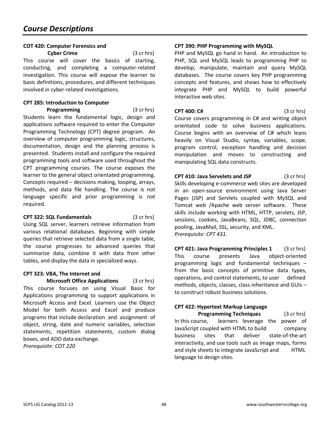## **COT 420: Computer Forensics and**

**Cyber Crime** (3 cr hrs) This course will cover the basics of starting, conducting, and completing a computer-related investigation. This course will expose the learner to basic definitions, procedures, and different techniques involved in cyber-related investigations.

## **CPT 285: Introduction to Computer**

**Programming** (3 cr hrs) Students learn the fundamental logic, design and applications software required to enter the Computer Programming Technology (CPT) degree program. An overview of computer programming logic, structures, documentation, design and the planning process is presented. Students install and configure the required programming tools and software used throughout the CPT programming courses. The course exposes the learner to the general object orientated programming. Concepts required – decisions making, looping, arrays, methods, and data file handling. The course is not language specific and prior programming is not required.

**CPT 322: SQL Fundamentals** (3 cr hrs) Using SQL server, learners retrieve information from various relational databases. Beginning with simple queries that retrieve selected data from a single table, the course progresses to advanced queries that summarize data, combine it with data from other tables, and display the data in specialized ways.

## **CPT 323: VBA, The Internet and**

**Microsoft Office Applications** (3 cr hrs) This course focuses on using Visual Basic for Applications programming to support applications in Microsoft Access and Excel. Learners use the Object Model for both Access and Excel and produce programs that include declaration and assignment of object, string, date and numeric variables, selection statements, repetition statements, custom dialog boxes, and ADO data exchange. *Prerequisite: COT 220* 

## **CPT 390: PHP Programming with MySQL**

PHP and MySQL go hand in hand. An introduction to PHP, SQL and MySQL leads to programming PHP to develop, manipulate, maintain and query MySQL databases. The course covers key PHP programming concepts and features, and shows how to effectively integrate PHP and MySQL to build powerful interactive web sites.

**CPT 400: C#** (3 cr hrs) Course covers programming in C# and writing object orientated code to solve business applications. Course begins with an overview of C# which leans heavily on Visual Studio, syntax, variables, scope, program control, exception handling and decision manipulation and moves to constructing and manipulating SQL data constructs.

**CPT 410: Java Servelets and JSP** (3 cr hrs) Skills developing e-commerce web sites are developed in an open-source environment using Java Server Pages (JSP) and Servlets coupled with MySQL and Tomcat web /Apache web server software. These skills include working with HTML, HTTP, servlets, JSP, sessions, cookies, JavaBeans, SQL, JDBC, connection pooling, JavaMail, SSL, security, and XML. *Prerequisite: CPT 431.* 

**CPT 421: Java Programming Principles 1** (3 cr hrs) This course presents Java object-oriented programming logic and fundamental techniques – from the basic concepts of primitive data types, operations, and control statements, to user defined methods, objects, classes, class inheritance and GUIs – to construct robust business solutions.

## **CPT 422: Hypertext Markup Language**

**Programming Techniques** (3 cr hrs) In this course, learners leverage the power of JavaScript coupled with HTML to build company business sites that deliver state-of-the-art interactivity, and use tools such as image maps, forms and style sheets to integrate JavaScript and HTML language to design sites.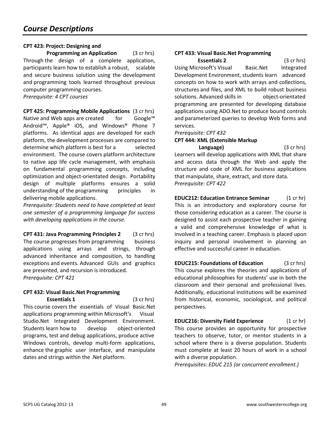## **CPT 423: Project: Designing and**

**Programming an Application** (3 cr hrs) Through the design of a complete application, participants learn how to establish a robust, scalable and secure business solution using the development and programming tools learned throughout previous computer programming courses. *Prerequisite: 4 CPT courses* 

**CPT 425: Programming Mobile Applications** (3 cr hrs) Native and Web apps are created for Google™ Android™, Apple® iOS, and Windows® Phone 7 platforms. As identical apps are developed for each platform, the development processes are compared to determine which platform is best for a selected environment. The course covers platform architecture to native app life cycle management, with emphasis on fundamental programming concepts, including optimization and object-orientated design. Portability design of multiple platforms ensures a solid understanding of the programming principles in delivering mobile applications.

*Prerequisite: Students need to have completed at least one semester of a programming language for success with developing applications in the course.* 

**CPT 431: Java Programming Principles 2** (3 cr hrs) The course progresses from programming business applications using arrays and strings, through advanced inheritance and composition, to handling exceptions and events. Advanced GUIs and graphics are presented, and recursion is introduced. *Prerequisite: CPT 421* 

#### **CPT 432: Visual Basic.Net Programming Essentials 1** (3 cr hrs)

This course covers the essentials of Visual Basic.Net applications programming within Microsoft's Visual Studio.Net Integrated Development Environment. Students learn how to develop object-oriented programs, test and debug applications, produce active Windows controls, develop multi-form applications, enhance the graphic user interface, and manipulate dates and strings within the .Net platform.

## **CPT 433: Visual Basic.Net Programming**

**Essentials 2** (3 cr hrs) Using Microsoft's Visual Basic.Net Integrated Development Environment, students learn advanced concepts on how to work with arrays and collections, structures and files, and XML to build robust business solutions. Advanced skills in bobiect-orientated programming are presented for developing database applications using ADO.Net to produce bound controls and parameterized queries to develop Web forms and services.

#### *Prerequisite: CPT 432*

#### **CPT 444: XML (Extensible Markup**

 **Language)** (3 cr hrs) Learners will develop applications with XML that share and access data through the Web and apply the structure and code of XML for business applications that manipulate, share, extract, and store data. *Prerequisite: CPT 422* 

**EDUC212: Education Entrance Seminar** (1 cr hr) This is an introductory and exploratory course for those considering education as a career. The course is designed to assist each prospective teacher in gaining a valid and comprehensive knowledge of what is involved in a teaching career. Emphasis is placed upon inquiry and personal involvement in planning an effective and successful career in education.

**EDUC215: Foundations of Education** (3 cr hrs) This course explores the theories and applications of educational philosophies for students' use in both the classroom and their personal and professional lives. Additionally, educational institutions will be examined from historical, economic, sociological, and political perspectives.

**EDUC216: Diversity Field Experience** (1 cr hr) This course provides an opportunity for prospective teachers to observe, tutor, or mentor students in a school where there is a diverse population. Students must complete at least 20 hours of work in a school with a diverse population.

*Prerequisites: EDUC 215 (or concurrent enrollment.)*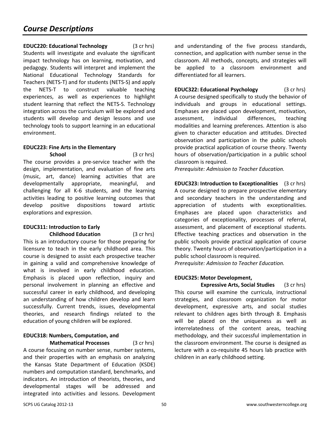**EDUC220: Educational Technology** (3 cr hrs) Students will investigate and evaluate the significant impact technology has on learning, motivation, and pedagogy. Students will interpret and implement the National Educational Technology Standards for Teachers (NETS-T) and for students (NETS-S) and apply the NETS-T to construct valuable teaching experiences, as well as experiences to highlight student learning that reflect the NETS-S. Technology integration across the curriculum will be explored and students will develop and design lessons and use technology tools to support learning in an educational environment.

## **EDUC223: Fine Arts in the Elementary**

**School** (3 cr hrs) The course provides a pre-service teacher with the design, implementation, and evaluation of fine arts (music, art, dance) learning activities that are developmentally appropriate, meaningful, and challenging for all K-6 students, and the learning activities leading to positive learning outcomes that develop positive dispositions toward artistic explorations and expression.

#### **EDUC311: Introduction to Early Childhood Education** (3 cr hrs)

This is an introductory course for those preparing for licensure to teach in the early childhood area. This course is designed to assist each prospective teacher in gaining a valid and comprehensive knowledge of what is involved in early childhood education. Emphasis is placed upon reflection, inquiry and personal involvement in planning an effective and successful career in early childhood, and developing an understanding of how children develop and learn successfully. Current trends, issues, developmental theories, and research findings related to the education of young children will be explored.

#### **EDUC318: Numbers, Computation, and Mathematical Processes** (3 cr hrs)

A course focusing on number sense, number systems, and their properties with an emphasis on analyzing the Kansas State Department of Education (KSDE) numbers and computation standard, benchmarks, and indicators. An introduction of theorists, theories, and developmental stages will be addressed and integrated into activities and lessons. Development and understanding of the five process standards, connection, and application with number sense in the classroom. All methods, concepts, and strategies will be applied to a classroom environment and differentiated for all learners.

**EDUC322: Educational Psychology** (3 cr hrs) A course designed specifically to study the behavior of individuals and groups in educational settings. Emphases are placed upon development, motivation, assessment, individual differences, teaching modalities and learning preferences. Attention is also given to character education and attitudes. Directed observation and participation in the public schools provide practical application of course theory. Twenty hours of observation/participation in a public school classroom is required.

*Prerequisite: Admission to Teacher Education.* 

**EDUC323: Introduction to Exceptionalities** (3 cr hrs) A course designed to prepare prospective elementary and secondary teachers in the understanding and appreciation of students with exceptionalities. Emphases are placed upon characteristics and categories of exceptionality, processes of referral, assessment, and placement of exceptional students. Effective teaching practices and observation in the public schools provide practical application of course theory. Twenty hours of observation/participation in a public school classroom is required.

*Prerequisite: Admission to Teacher Education.* 

#### **EDUC325: Motor Development,**

**Expressive Arts, Social Studies** (3 cr hrs) This course will examine the curricula, instructional strategies, and classroom organization for motor development, expressive arts, and social studies relevant to children ages birth through 8. Emphasis will be placed on the uniqueness as well as interrelatedness of the content areas, teaching methodology, and their successful implementation in the classroom environment. The course is designed as lecture with a co-requisite 45 hours lab practice with children in an early childhood setting.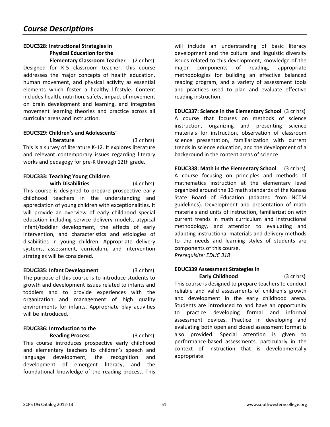## **EDUC328: Instructional Strategies in Physical Education for the**

**Elementary Classroom Teacher** (2 cr hrs) Designed for K-5 classroom teacher, this course addresses the major concepts of health education, human movement, and physical activity as essential elements which foster a healthy lifestyle. Content includes health, nutrition, safety, impact of movement on brain development and learning, and integrates movement learning theories and practice across all curricular areas and instruction.

## **EDUC329: Children's and Adolescents'**

**Literature** (3 cr hrs) This is a survey of literature K-12. It explores literature and relevant contemporary issues regarding literary works and pedagogy for pre-K through 12th grade.

#### **EDUC333: Teaching Young Children with Disabilities** (4 cr hrs)

This course is designed to prepare prospective early childhood teachers in the understanding and appreciation of young children with exceptionalities. It will provide an overview of early childhood special education including service delivery models, atypical infant/toddler development, the effects of early intervention, and characteristics and etiologies of disabilities in young children. Appropriate delivery systems, assessment, curriculum, and intervention strategies will be considered.

#### **EDUC335: Infant Development** (3 cr hrs) The purpose of this course is to introduce students to growth and development issues related to infants and toddlers and to provide experiences with the organization and management of high quality environments for infants. Appropriate play activities will be introduced.

## **EDUC336: Introduction to the**

 **Reading Process** (3 cr hrs) This course introduces prospective early childhood and elementary teachers to children's speech and language development, the recognition and development of emergent literacy, and the foundational knowledge of the reading process. This

will include an understanding of basic literacy development and the cultural and linguistic diversity issues related to this development, knowledge of the major components of reading, appropriate methodologies for building an effective balanced reading program, and a variety of assessment tools and practices used to plan and evaluate effective reading instruction.

**EDUC337: Science in the Elementary School** (3 cr hrs) A course that focuses on methods of science instruction, organizing and presenting science materials for instruction, observation of classroom science presentation, familiarization with current trends in science education, and the development of a background in the content areas of science.

**EDUC338: Math in the Elementary School** (3 cr hrs) A course focusing on principles and methods of mathematics instruction at the elementary level organized around the 13 math standards of the Kansas State Board of Education (adapted from NCTM guidelines). Development and presentation of math materials and units of instruction, familiarization with current trends in math curriculum and instructional methodology, and attention to evaluating and adapting instructional materials and delivery methods to the needs and learning styles of students are components of this course. *Prerequisite: EDUC 318* 

## **EDUC339 Assessment Strategies in**

**Early Childhood** (3 cr hrs) This course is designed to prepare teachers to conduct reliable and valid assessments of children's growth and development in the early childhood arena. Students are introduced to and have an opportunity to practice developing formal and informal assessment devices. Practice in developing and evaluating both open and closed assessment format is also provided. Special attention is given to performance-based assessments, particularly in the context of instruction that is developmentally appropriate.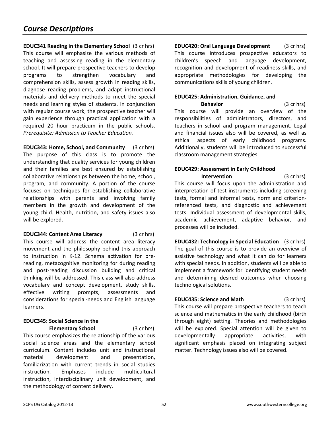**EDUC341 Reading in the Elementary School** (3 cr hrs) This course will emphasize the various methods of teaching and assessing reading in the elementary school. It will prepare prospective teachers to develop programs to strengthen vocabulary and comprehension skills, assess growth in reading skills, diagnose reading problems, and adapt instructional materials and delivery methods to meet the special needs and learning styles of students. In conjunction with regular course work, the prospective teacher will gain experience through practical application with a required 20 hour practicum in the public schools. *Prerequisite: Admission to Teacher Education.* 

**EDUC343: Home, School, and Community** (3 cr hrs) The purpose of this class is to promote the understanding that quality services for young children and their families are best ensured by establishing collaborative relationships between the home, school, program, and community. A portion of the course focuses on techniques for establishing collaborative relationships with parents and involving family members in the growth and development of the young child. Health, nutrition, and safety issues also will be explored.

**EDUC344: Content Area Literacy** (3 cr hrs) This course will address the content area literacy movement and the philosophy behind this approach to instruction in K-12. Schema activation for prereading, metacognitive monitoring for during reading and post-reading discussion building and critical thinking will be addressed. This class will also address vocabulary and concept development, study skills, effective writing prompts, assessments and considerations for special-needs and English language learners.

## **EDUC345: Social Science in the**

**Elementary School** (3 cr hrs) This course emphasizes the relationship of the various social science areas and the elementary school curriculum. Content includes unit and instructional material development and presentation, familiarization with current trends in social studies instruction. Emphases include multicultural instruction, interdisciplinary unit development, and the methodology of content delivery.

**EDUC420: Oral Language Development** (3 cr hrs) This course introduces prospective educators to children's speech and language development, recognition and development of readiness skills, and appropriate methodologies for developing the communications skills of young children.

## **EDUC425: Administration, Guidance, and**

**Behavior** (3 cr hrs) This course will provide an overview of the responsibilities of administrators, directors, and teachers in school and program management. Legal and financial issues also will be covered, as well as ethical aspects of early childhood programs. Additionally, students will be introduced to successful classroom management strategies.

## **EDUC429: Assessment in Early Childhood**

**Intervention** (3 cr hrs) This course will focus upon the administration and interpretation of test instruments including screening tests, formal and informal tests, norm and criterionreferenced tests, and diagnostic and achievement tests. Individual assessment of developmental skills, academic achievement, adaptive behavior, and processes will be included.

**EDUC432: Technology in Special Education** (3 cr hrs) The goal of this course is to provide an overview of assistive technology and what it can do for learners with special needs. In addition, students will be able to implement a framework for identifying student needs and determining desired outcomes when choosing technological solutions.

## **EDUC435: Science and Math** (3 cr hrs)

This course will prepare prospective teachers to teach science and mathematics in the early childhood (birth through eight) setting. Theories and methodologies will be explored. Special attention will be given to developmentally appropriate activities, with significant emphasis placed on integrating subject matter. Technology issues also will be covered.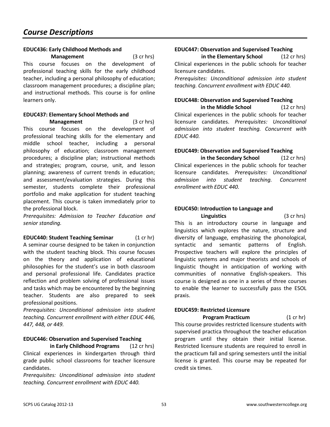#### **EDUC436: Early Childhood Methods and**

**Management** (3 cr hrs) This course focuses on the development of professional teaching skills for the early childhood teacher, including a personal philosophy of education; classroom management procedures; a discipline plan; and instructional methods. This course is for online learners only.

#### **EDUC437: Elementary School Methods and Management** (3 cr hrs)

This course focuses on the development of professional teaching skills for the elementary and middle school teacher, including a personal philosophy of education; classroom management procedures; a discipline plan; instructional methods and strategies; program, course, unit, and lesson planning; awareness of current trends in education; and assessment/evaluation strategies. During this semester, students complete their professional portfolio and make application for student teaching placement. This course is taken immediately prior to the professional block.

*Prerequisites: Admission to Teacher Education and senior standing.* 

#### **EDUC440: Student Teaching Seminar** (1 cr hr)

A seminar course designed to be taken in conjunction with the student teaching block. This course focuses on the theory and application of educational philosophies for the student's use in both classroom and personal professional life. Candidates practice reflection and problem solving of professional issues and tasks which may be encountered by the beginning teacher. Students are also prepared to seek professional positions.

*Prerequisites: Unconditional admission into student teaching. Concurrent enrollment with either EDUC 446, 447, 448, or 449.* 

#### **EDUC446: Observation and Supervised Teaching**

 **in Early Childhood Programs** (12 cr hrs) Clinical experiences in kindergarten through third grade public school classrooms for teacher licensure candidates.

*Prerequisites: Unconditional admission into student teaching. Concurrent enrollment with EDUC 440.* 

#### **EDUC447: Observation and Supervised Teaching**

**in the Elementary School** (12 cr hrs) Clinical experiences in the public schools for teacher licensure candidates.

*Prerequisites: Unconditional admission into student teaching. Concurrent enrollment with EDUC 440.* 

#### **EDUC448: Observation and Supervised Teaching**

**in the Middle School** (12 cr hrs) Clinical experiences in the public schools for teacher licensure candidates. *Prerequisites: Unconditional admission into student teaching. Concurrent with EDUC 440.* 

#### **EDUC449: Observation and Supervised Teaching**

**in the Secondary School** (12 cr hrs) Clinical experiences in the public schools for teacher licensure candidates. *Prerequisites: Unconditional admission into student teaching. Concurrent enrollment with EDUC 440.* 

## **EDUC450: Introduction to Language and**

 **Linguistics** (3 cr hrs) This is an introductory course in language and linguistics which explores the nature, structure and diversity of language, emphasizing the phonological, syntactic and semantic patterns of English. Prospective teachers will explore the principles of linguistic systems and major theorists and schools of linguistic thought in anticipation of working with communities of nonnative English-speakers. This course is designed as one in a series of three courses to enable the learner to successfully pass the ESOL praxis.

#### **EDUC459: Restricted Licensure**

**Program Practicum** (1 cr hr)

This course provides restricted licensure students with supervised practica throughout the teacher education program until they obtain their initial license. Restricted licensure students are required to enroll in the practicum fall and spring semesters until the initial license is granted. This course may be repeated for credit six times.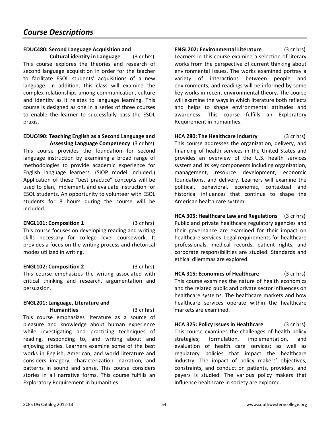#### **EDUC480: Second Language Acquisition and Cultural identity in Language** (3 cr hrs)

This course explores the theories and research of second language acquisition in order for the teacher to facilitate ESOL students' acquisitions of a new language. In addition, this class will examine the complex relationships among communication, culture and identity as it relates to language learning. This course is designed as one in a series of three courses to enable the learner to successfully pass the ESOL praxis.

#### **EDUC490: Teaching English as a Second Language and Assessing Language Competency** (3 cr hrs)

This course provides the foundation for second language instruction by examining a broad range of methodologies to provide academic experience for English language learners. (SIOP model included.) Application of these "best practice" concepts will be used to plan, implement, and evaluate instruction for ESOL students. An opportunity to volunteer with ESOL students for 8 hours during the course will be included.

**ENGL101: Composition 1** (3 cr hrs) This course focuses on developing reading and writing skills necessary for college level coursework. It provides a focus on the writing process and rhetorical modes utilized in writing.

**ENGL102: Composition 2** (3 cr hrs) This course emphasizes the writing associated with critical thinking and research, argumentation and persuasion.

#### **ENGL201: Language, Literature and Humanities** (3 cr hrs)

This course emphasizes literature as a source of pleasure and knowledge about human experience while investigating and practicing techniques of reading, responding to, and writing about and enjoying stories. Learners examine some of the best works in English, American, and world literature and considers imagery, characterization, narration, and patterns in sound and sense. This course considers stories in all narrative forms. This course fulfills an Exploratory Requirement in humanities.

**ENGL202: Environmental Literature** (3 cr hrs) Learners in this course examine a selection of literary works from the perspective of current thinking about environmental issues. The works examined portray a variety of interactions between people and environments, and readings will be informed by some key works in recent environmental theory. The course will examine the ways in which literature both reflects and helps to shape environmental attitudes and awareness. This course fulfills an Exploratory Requirement in humanities.

**HCA 280: The Healthcare Industry** (3 cr hrs) This course addresses the organization, delivery, and financing of health services in the United States and provides an overview of the U.S. health services system and its key components including organization, management, resource development, economic foundations, and delivery. Learners will examine the political, behavioral, economic, contextual and historical influences that continue to shape the American health care system.

**HCA 305: Healthcare Law and Regulations** (3 cr hrs) Public and private healthcare regulatory agencies and their governance are examined for their impact on healthcare services. Legal requirements for healthcare professionals, medical records, patient rights, and corporate responsibilities are studied. Standards and ethical dilemmas are explored.

**HCA 315: Economics of Healthcare** (3 cr hrs) This course examines the nature of health economics and the related public and private sector influences on healthcare systems. The healthcare markets and how healthcare services operate within the healthcare markets are examined.

**HCA 325: Policy Issues in Healthcare** (3 cr hrs) This course examines the challenges of health policy strategies; formulation, implementation, and evaluation of health care services; as well as regulatory policies that impact the healthcare industry. The impact of policy makers' objectives, constraints, and conduct on patients, providers, and payers is studied. The various policy makers that influence healthcare in society are explored.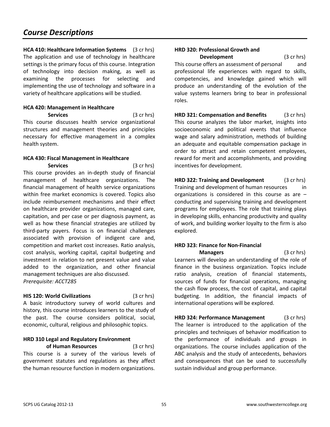## *Course Descriptions*

**HCA 410: Healthcare Information Systems** (3 cr hrs) The application and use of technology in healthcare settings is the primary focus of this course. Integration of technology into decision making, as well as examining the processes for selecting and implementing the use of technology and software in a variety of healthcare applications will be studied.

## **HCA 420: Management in Healthcare**

 **Services** (3 cr hrs) This course discusses health service organizational structures and management theories and principles necessary for effective management in a complex health system.

## **HCA 430: Fiscal Management in Healthcare**

 **Services** (3 cr hrs) This course provides an in-depth study of financial management of healthcare organizations. The financial management of health service organizations within free market economics is covered. Topics also include reimbursement mechanisms and their effect on healthcare provider organizations, managed care, capitation, and per case or per diagnosis payment, as well as how these financial strategies are utilized by third-party payers. Focus is on financial challenges associated with provision of indigent care and, competition and market cost increases. Ratio analysis, cost analysis, working capital, capital budgeting and investment in relation to net present value and value added to the organization, and other financial management techniques are also discussed. *Prerequisite: ACCT285*

#### **HIS 120: World Civilizations** (3 cr hrs)

A basic introductory survey of world cultures and history, this course introduces learners to the study of the past. The course considers political, social, economic, cultural, religious and philosophic topics.

#### **HRD 310 Legal and Regulatory Environment**

 **of Human Resources** (3 cr hrs) This course is a survey of the various levels of government statutes and regulations as they affect the human resource function in modern organizations.

## **HRD 320: Professional Growth and**

**Development** (3 cr hrs) This course offers an assessment of personal and professional life experiences with regard to skills, competencies, and knowledge gained which will produce an understanding of the evolution of the value systems learners bring to bear in professional roles.

**HRD 321: Compensation and Benefits** (3 cr hrs) This course analyzes the labor market, insights into socioeconomic and political events that influence wage and salary administration, methods of building an adequate and equitable compensation package in order to attract and retain competent employees, reward for merit and accomplishments, and providing incentives for development.

**HRD 322: Training and Development** (3 cr hrs) Training and development of human resources in organizations is considered in this course as are  $$ conducting and supervising training and development programs for employees. The role that training plays in developing skills, enhancing productivity and quality of work, and building worker loyalty to the firm is also explored.

## **HRD 323: Finance for Non-Financial**

 **Managers** (3 cr hrs) Learners will develop an understanding of the role of finance in the business organization. Topics include ratio analysis, creation of financial statements, sources of funds for financial operations, managing the cash flow process, the cost of capital, and capital budgeting. In addition, the financial impacts of international operations will be explored.

**HRD 324: Performance Management** (3 cr hrs) The learner is introduced to the application of the principles and techniques of behavior modification to the performance of individuals and groups in organizations. The course includes application of the ABC analysis and the study of antecedents, behaviors and consequences that can be used to successfully sustain individual and group performance.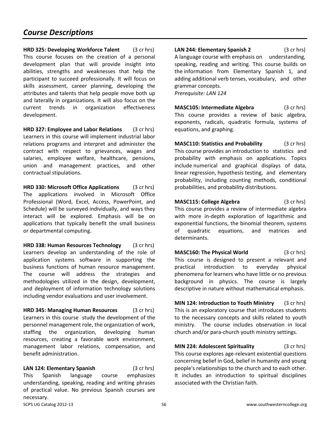**HRD 325: Developing Workforce Talent** (3 cr hrs) This course focuses on the creation of a personal development plan that will provide insight into abilities, strengths and weaknesses that help the participant to succeed professionally. It will focus on skills assessment, career planning, developing the attributes and talents that help people move both up and laterally in organizations. It will also focus on the current trends in organization effectiveness development.

**HRD 327: Employee and Labor Relations** (3 cr hrs) Learners in this course will implement industrial labor relations programs and interpret and administer the contract with respect to grievances, wages and salaries, employee welfare, healthcare, pensions, union and management practices, and other contractual stipulations.

**HRD 330: Microsoft Office Applications** (3 cr hrs) The applications involved in Microsoft Office Professional (Word, Excel, Access, PowerPoint, and Schedule) will be surveyed individually, and ways they interact will be explored. Emphasis will be on applications that typically benefit the small business or departmental computing.

**HRD 338: Human Resources Technology** (3 cr hrs) Learners develop an understanding of the role of application systems software in supporting the business functions of human resource management. The course will address the strategies and methodologies utilized in the design, development, and deployment of information technology solutions including vendor evaluations and user involvement.

**HRD 345: Managing Human Resources** (3 cr hrs) Learners in this course study the development of the personnel management role, the organization of work, staffing the organization, developing human resources, creating a favorable work environment, management labor relations, compensation, and benefit administration.

**LAN 124: Elementary Spanish** (3 cr hrs) This Spanish language course emphasizes understanding, speaking, reading and writing phrases of practical value. No previous Spanish courses are necessary.

**LAN 244: Elementary Spanish 2** (3 cr hrs) A language course with emphasis on understanding, speaking, reading and writing. This course builds on the information from Elementary Spanish 1, and adding additional verb tenses, vocabulary, and other grammar concepts. *Prerequisite: LAN 124* 

**MASC105: Intermediate Algebra** (3 cr hrs) This course provides a review of basic algebra, exponents, radicals, quadratic formula, systems of equations, and graphing.

**MASC110: Statistics and Probability** (3 cr hrs) This course provides an introduction to statistics and probability with emphasis on applications. Topics include numerical and graphical displays of data, linear regression, hypothesis testing, and elementary probability, including counting methods, conditional probabilities, and probability distributions.

**MASC115: College Algebra** (3 cr hrs) This course provides a review of intermediate algebra with more in-depth exploration of logarithmic and exponential functions, the binomial theorem, systems of quadratic equations, and matrices and determinants.

**MASC160: The Physical World** (3 cr hrs) This course is designed to present a relevant and practical introduction to everyday physical phenomena for learners who have little or no previous background in physics. The course is largely descriptive in nature without mathematical emphasis.

**MIN 124: Introduction to Youth Ministry** (3 cr hrs) This is an exploratory course that introduces students to the necessary concepts and skills related to youth ministry. The course includes observation in local church and/or para-church youth ministry settings.

**MIN 224: Adolescent Spirituality** (3 cr hrs) This course explores age-relevant existential questions concerning belief in God, belief in humanity and young people's relationships to the church and to each other. It includes an introduction to spiritual disciplines associated with the Christian faith.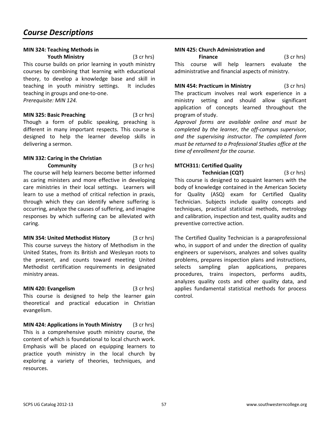#### **MIN 324: Teaching Methods in**

 **Youth Ministry** (3 cr hrs) This course builds on prior learning in youth ministry courses by combining that learning with educational theory, to develop a knowledge base and skill in teaching in youth ministry settings. It includes teaching in groups and one-to-one.

*Prerequisite: MIN 124.* 

**MIN 325: Basic Preaching** (3 cr hrs) Though a form of public speaking, preaching is different in many important respects. This course is designed to help the learner develop skills in delivering a sermon.

## **MIN 332: Caring in the Christian**

**Community** (3 cr hrs) The course will help learners become better informed as caring ministers and more effective in developing care ministries in their local settings. Learners will learn to use a method of critical refection in praxis, through which they can identify where suffering is occurring, analyze the causes of suffering, and imagine responses by which suffering can be alleviated with caring.

**MIN 354: United Methodist History** (3 cr hrs) This course surveys the history of Methodism in the United States, from its British and Wesleyan roots to the present, and counts toward meeting United Methodist certification requirements in designated ministry areas.

**MIN 420: Evangelism** (3 cr hrs) This course is designed to help the learner gain theoretical and practical education in Christian evangelism.

**MIN 424: Applications in Youth Ministry** (3 cr hrs) This is a comprehensive youth ministry course, the content of which is foundational to local church work. Emphasis will be placed on equipping learners to practice youth ministry in the local church by exploring a variety of theories, techniques, and resources.

#### **MIN 425: Church Administration and**

**Finance** (3 cr hrs) This course will help learners evaluate the administrative and financial aspects of ministry.

**MIN 454: Practicum in Ministry** (3 cr hrs) The practicum involves real work experience in a ministry setting and should allow significant application of concepts learned throughout the program of study.

*Approval forms are available online and must be completed by the learner, the off-campus supervisor, and the supervising instructor. The completed form must be returned to a Professional Studies office at the time of enrollment for the course.* 

#### **MTCH311: Certified Quality**

**Technician (CQT)** (3 cr hrs) This course is designed to acquaint learners with the body of knowledge contained in the American Society for Quality (ASQ) exam for Certified Quality Technician. Subjects include quality concepts and techniques, practical statistical methods, metrology and calibration, inspection and test, quality audits and preventive corrective action.

The Certified Quality Technician is a paraprofessional who, in support of and under the direction of quality engineers or supervisors, analyzes and solves quality problems, prepares inspection plans and instructions, selects sampling plan applications, prepares procedures, trains inspectors, performs audits, analyzes quality costs and other quality data, and applies fundamental statistical methods for process control.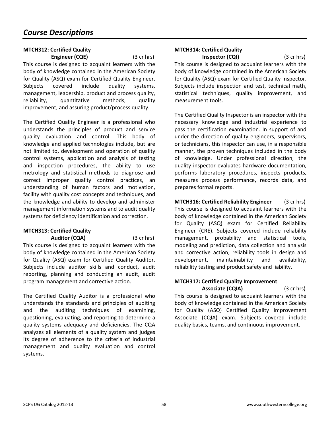#### **MTCH312: Certified Quality Engineer (CQE)** (3 cr hrs)

This course is designed to acquaint learners with the body of knowledge contained in the American Society for Quality (ASQ) exam for Certified Quality Engineer. Subjects covered include quality systems, management, leadership, product and process quality, reliability, quantitative methods, quality improvement, and assuring product/process quality.

The Certified Quality Engineer is a professional who understands the principles of product and service quality evaluation and control. This body of knowledge and applied technologies include, but are not limited to, development and operation of quality control systems, application and analysis of testing and inspection procedures, the ability to use metrology and statistical methods to diagnose and correct improper quality control practices, an understanding of human factors and motivation, facility with quality cost concepts and techniques, and the knowledge and ability to develop and administer management information systems and to audit quality systems for deficiency identification and correction.

#### **MTCH313: Certified Quality Auditor (CQA)** (3 cr hrs)

This course is designed to acquaint learners with the body of knowledge contained in the American Society for Quality (ASQ) exam for Certified Quality Auditor. Subjects include auditor skills and conduct, audit reporting, planning and conducting an audit, audit program management and corrective action.

The Certified Quality Auditor is a professional who understands the standards and principles of auditing and the auditing techniques of examining, questioning, evaluating, and reporting to determine a quality systems adequacy and deficiencies. The CQA analyzes all elements of a quality system and judges its degree of adherence to the criteria of industrial management and quality evaluation and control systems.

## **MTCH314: Certified Quality**

**Inspector (CQI)** (3 cr hrs) This course is designed to acquaint learners with the body of knowledge contained in the American Society for Quality (ASQ) exam for Certified Quality Inspector. Subjects include inspection and test, technical math, statistical techniques, quality improvement, and measurement tools.

The Certified Quality Inspector is an inspector with the necessary knowledge and industrial experience to pass the certification examination. In support of and under the direction of quality engineers, supervisors, or technicians, this inspector can use, in a responsible manner, the proven techniques included in the body of knowledge. Under professional direction, the quality inspector evaluates hardware documentation, performs laboratory procedures, inspects products, measures process performance, records data, and prepares formal reports.

**MTCH316: Certified Reliability Engineer** (3 cr hrs) This course is designed to acquaint learners with the body of knowledge contained in the American Society for Quality (ASQ) exam for Certified Reliability Engineer (CRE). Subjects covered include reliability management, probability and statistical tools, modeling and prediction, data collection and analysis and corrective action, reliability tools in design and development, maintainability and availability, reliability testing and product safety and liability.

#### **MTCH317: Certified Quality Improvement Associate (CQIA)** (3 cr hrs)

This course is designed to acquaint learners with the body of knowledge contained in the American Society for Quality (ASQ) Certified Quality Improvement Associate (CQIA) exam. Subjects covered include quality basics, teams, and continuous improvement.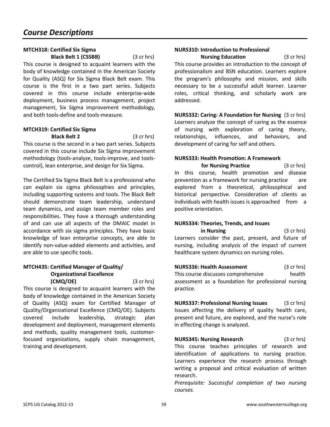#### **MTCH318: Certified Six Sigma Black Belt 1 (CSSBB)** (3 cr hrs)

This course is designed to acquaint learners with the body of knowledge contained in the American Society for Quality (ASQ) for Six Sigma Black Belt exam. This course is the first in a two part series. Subjects covered in this course include enterprise-wide deployment, business process management, project management, Six Sigma improvement methodology, and both tools-define and tools-measure.

## **MTCH319: Certified Six Sigma**

**Black Belt 2** (3 cr hrs) This course is the second in a two part series. Subjects covered in this course include Six Sigma improvement methodology (tools-analyze, tools-improve, and toolscontrol), lean enterprise, and design for Six Sigma.

The Certified Six Sigma Black Belt is a professional who can explain six sigma philosophies and principles, including supporting systems and tools. The Black Belt should demonstrate team leadership, understand team dynamics, and assign team member roles and responsibilities. They have a thorough understanding of and can use all aspects of the DMAIC model in accordance with six sigma principles. They have basic knowledge of lean enterprise concepts, are able to identify non-value-added elements and activities, and are able to use specific tools.

#### **MTCH435: Certified Manager of Quality/ Organizational Excellence (CMQ/OE)** (3 cr hrs)

This course is designed to acquaint learners with the body of knowledge contained in the American Society of Quality (ASQ) exam for Certified Manager of Quality/Organizational Excellence (CMQ/OE). Subjects covered include leadership, strategic plan development and deployment, management elements and methods, quality management tools, customerfocused organizations, supply chain management, training and development.

#### **NURS310: Introduction to Professional**

**Nursing Education** (3 cr hrs) This course provides an introduction to the concept of professionalism and BSN education. Learners explore the program's philosophy and mission, and skills necessary to be a successful adult learner. Learner roles, critical thinking, and scholarly work are addressed.

**NURS332: Caring: A Foundation for Nursing** (3 cr hrs) Learners analyze the concept of caring as the essence of nursing with exploration of caring theory, relationships, influences, and behaviors, and development of caring for self and others.

## **NURS333: Health Promotion: A Framework**

 **for Nursing Practice** (3 cr hrs) In this course, health promotion and disease prevention as a framework for nursing practice are explored from a theoretical, philosophical and historical perspective. Consideration of clients as individuals with health issues is approached from a positive orientation.

#### **NURS334: Theories, Trends, and Issues**

 **in Nursing** (3 cr hrs) Learners consider the past, present, and future of nursing, including analysis of the impact of current healthcare system dynamics on nursing roles.

**NURS336: Health Assessment** (3 cr hrs) This course discusses comprehensive health assessment as a foundation for professional nursing practice.

**NURS337: Professional Nursing Issues** (3 cr hrs) Issues affecting the delivery of quality health care, present and future, are explored, and the nurse's role in effecting change is analyzed.

**NURS345: Nursing Research** (3 cr hrs) This course teaches principles of research and identification of applications to nursing practice. Learners experience the research process through writing a proposal and critical evaluation of written research.

*Prerequisite: Successful completion of two nursing courses.*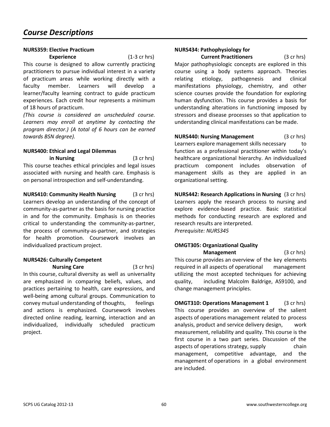#### **NURS359: Elective Practicum**

**Experience** (1-3 cr hrs) This course is designed to allow currently practicing practitioners to pursue individual interest in a variety of practicum areas while working directly with a faculty member. Learners will develop a learner/faculty learning contract to guide practicum experiences. Each credit hour represents a minimum of 18 hours of practicum.

*(This course is considered an unscheduled course. Learners may enroll at anytime by contacting the program director.) (A total of 6 hours can be earned towards BSN degree).* 

#### **NURS400: Ethical and Legal Dilemmas**

 **in Nursing** (3 cr hrs) This course teaches ethical principles and legal issues associated with nursing and health care. Emphasis is on personal introspection and self-understanding.

**NURS410: Community Health Nursing** (3 cr hrs) Learners develop an understanding of the concept of community-as-partner as the basis for nursing practice in and for the community. Emphasis is on theories critical to understanding the community-as-partner, the process of community-as-partner, and strategies for health promotion. Coursework involves an individualized practicum project.

## **NURS426: Culturally Competent**

**Nursing Care** (3 cr hrs) In this course, cultural diversity as well as universality are emphasized in comparing beliefs, values, and practices pertaining to health, care expressions, and well-being among cultural groups. Communication to convey mutual understanding of thoughts, feelings and actions is emphasized. Coursework involves directed online reading, learning, interaction and an individualized, individually scheduled practicum project.

## **NURS434: Pathophysiology for**

**Current Practitioners** (3 cr hrs) Major pathophysiologic concepts are explored in this course using a body systems approach. Theories relating etiology, pathogenesis and clinical manifestations physiology, chemistry, and other science courses provide the foundation for exploring human dysfunction. This course provides a basis for understanding alterations in functioning imposed by stressors and disease processes so that application to understanding clinical manifestations can be made.

**NURS440: Nursing Management** (3 cr hrs) Learners explore management skills necessary to function as a professional practitioner within today's healthcare organizational hierarchy. An individualized practicum component includes observation of management skills as they are applied in an organizational setting.

**NURS442: Research Applications in Nursing** (3 cr hrs) Learners apply the research process to nursing and explore evidence-based practice. Basic statistical methods for conducting research are explored and research results are interpreted. *Prerequisite: NURS345* 

#### **OMGT305: Organizational Quality Management** (3 cr hrs)

This course provides an overview of the key elements required in all aspects of operational management utilizing the most accepted techniques for achieving quality, including Malcolm Baldrige, AS9100, and change management principles.

**OMGT310: Operations Management 1** (3 cr hrs) This course provides an overview of the salient aspects of operations management related to process analysis, product and service delivery design, work measurement, reliability and quality. This course is the first course in a two part series. Discussion of the aspects of operations strategy, supply chain management, competitive advantage, and the management of operations in a global environment are included.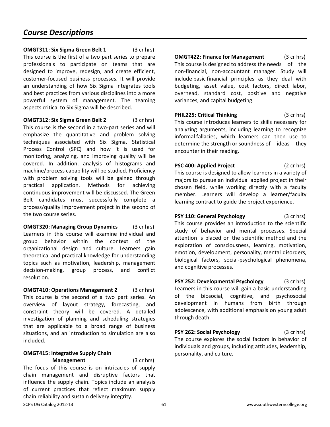#### **OMGT311: Six Sigma Green Belt 1** (3 cr hrs)

This course is the first of a two part series to prepare professionals to participate on teams that are designed to improve, redesign, and create efficient, customer-focused business processes. It will provide an understanding of how Six Sigma integrates tools and best practices from various disciplines into a more powerful system of management. The teaming aspects critical to Six Sigma will be described.

**OMGT312: Six Sigma Green Belt 2** (3 cr hrs)

This course is the second in a two-part series and will emphasize the quantitative and problem solving techniques associated with Six Sigma. Statistical Process Control (SPC) and how it is used for monitoring, analyzing, and improving quality will be covered. In addition, analysis of histograms and machine/process capability will be studied. Proficiency with problem solving tools will be gained through practical application. Methods for achieving continuous improvement will be discussed. The Green Belt candidates must successfully complete a process/quality improvement project in the second of the two course series.

**OMGT320: Managing Group Dynamics** (3 cr hrs) Learners in this course will examine individual and group behavior within the context of the organizational design and culture. Learners gain theoretical and practical knowledge for understanding topics such as motivation, leadership, management decision-making, group process, and conflict resolution.

**OMGT410: Operations Management 2** (3 cr hrs) This course is the second of a two part series. An overview of layout strategy, forecasting, and constraint theory will be covered. A detailed investigation of planning and scheduling strategies that are applicable to a broad range of business situations, and an introduction to simulation are also included.

#### **OMGT415: Integrative Supply Chain**

**Management** (3 cr hrs) The focus of this course is on intricacies of supply chain management and disruptive factors that influence the supply chain. Topics include an analysis of current practices that reflect maximum supply chain reliability and sustain delivery integrity.

**OMGT422: Finance for Management** (3 cr hrs) This course is designed to address the needs of the non-financial, non-accountant manager. Study will include basic financial principles as they deal with budgeting, asset value, cost factors, direct labor, overhead, standard cost, positive and negative variances, and capital budgeting.

**PHIL225: Critical Thinking** (3 cr hrs) This course introduces learners to skills necessary for analyzing arguments, including learning to recognize informal fallacies, which learners can then use to determine the strength or soundness of ideas they encounter in their reading.

**PSC 400: Applied Project** (2 cr hrs) This course is designed to allow learners in a variety of majors to pursue an individual applied project in their chosen field, while working directly with a faculty member. Learners will develop a learner/faculty learning contract to guide the project experience.

**PSY 110: General Psychology** (3 cr hrs) This course provides an introduction to the scientific study of behavior and mental processes. Special attention is placed on the scientific method and the exploration of consciousness, learning, motivation, emotion, development, personality, mental disorders, biological factors, social-psychological phenomena, and cognitive processes.

**PSY 252: Developmental Psychology** (3 cr hrs) Learners in this course will gain a basic understanding of the biosocial, cognitive, and psychosocial development in humans from birth through adolescence, with additional emphasis on young adult through death.

**PSY 262: Social Psychology** (3 cr hrs) The course explores the social factors in behavior of individuals and groups, including attitudes, leadership, personality, and culture.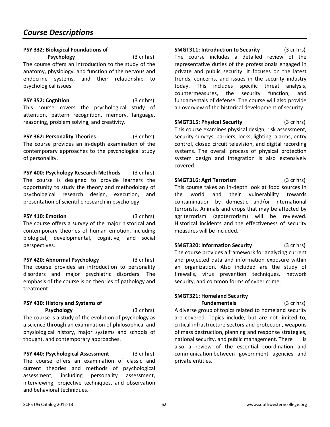#### **PSY 332: Biological Foundations of**

**Psychology** (3 cr hrs) The course offers an introduction to the study of the anatomy, physiology, and function of the nervous and endocrine systems, and their relationship to psychological issues.

**PSY 352: Cognition** (3 cr hrs) This course covers the psychological study of attention, pattern recognition, memory, language, reasoning, problem solving, and creativity.

**PSY 362: Personality Theories** (3 cr hrs) The course provides an in-depth examination of the contemporary approaches to the psychological study of personality.

**PSY 400: Psychology Research Methods** (3 cr hrs) The course is designed to provide learners the opportunity to study the theory and methodology of psychological research design, execution, and presentation of scientific research in psychology.

**PSY 410: Emotion** (3 cr hrs) The course offers a survey of the major historical and contemporary theories of human emotion, including biological, developmental, cognitive, and social perspectives.

**PSY 420: Abnormal Psychology** (3 cr hrs) The course provides an introduction to personality disorders and major psychiatric disorders. The emphasis of the course is on theories of pathology and treatment.

#### **PSY 430: History and Systems of Psychology** (3 cr hrs)

The course is a study of the evolution of psychology as a science through an examination of philosophical and physiological history, major systems and schools of thought, and contemporary approaches.

**PSY 440: Psychological Assessment** (3 cr hrs) The course offers an examination of classic and current theories and methods of psychological assessment, including personality assessment, interviewing, projective techniques, and observation and behavioral techniques.

**SMGT311: Introduction to Security** (3 cr hrs) The course includes a detailed review of the representative duties of the professionals engaged in private and public security. It focuses on the latest trends, concerns, and issues in the security industry today. This includes specific threat analysis, countermeasures, the security function, and fundamentals of defense. The course will also provide an overview of the historical development of security.

**SMGT315: Physical Security** (3 cr hrs) This course examines physical design, risk assessment, security surveys, barriers, locks, lighting, alarms, entry control, closed circuit television, and digital recording systems. The overall process of physical protection system design and integration is also extensively covered.

**SMGT316: Agri Terrorism** (3 cr hrs) This course takes an in-depth look at food sources in the world and their vulnerability towards contamination by domestic and/or international terrorists. Animals and crops that may be affected by agriterrorism (agoterrorism) will be reviewed. Historical incidents and the effectiveness of security measures will be included.

**SMGT320: Information Security** (3 cr hrs) The course provides a framework for analyzing current and projected data and information exposure within an organization. Also included are the study of firewalls, virus prevention techniques, network security, and common forms of cyber crime.

## **SMGT321: Homeland Security**

**Fundamentals** (3 cr hrs) A diverse group of topics related to homeland security are covered. Topics include, but are not limited to, critical infrastructure sectors and protection, weapons of mass destruction, planning and response strategies, national security, and public management. There is also a review of the essential coordination and communication between government agencies and private entities.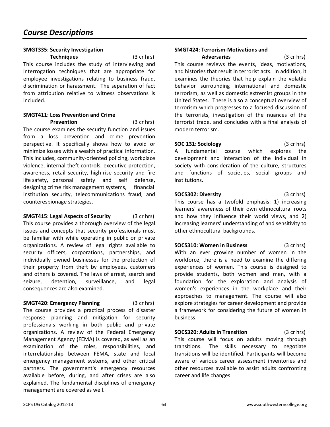#### **SMGT335: Security Investigation**

 **Techniques** (3 cr hrs) This course includes the study of interviewing and interrogation techniques that are appropriate for employee investigations relating to business fraud, discrimination or harassment. The separation of fact from attribution relative to witness observations is included.

#### **SMGT411: Loss Prevention and Crime Prevention** (3 cr hrs)

The course examines the security function and issues from a loss prevention and crime prevention perspective. It specifically shows how to avoid or minimize losses with a wealth of practical information. This includes, community-oriented policing, workplace violence, internal theft controls, executive protection, awareness, retail security, high-rise security and fire life safety, personal safety and self defense, designing crime risk management systems, financial institution security, telecommunications fraud, and counterespionage strategies.

**SMGT415: Legal Aspects of Security** (3 cr hrs) This course provides a thorough overview of the legal issues and concepts that security professionals must be familiar with while operating in public or private organizations. A review of legal rights available to security officers, corporations, partnerships, and individually owned businesses for the protection of their property from theft by employees, customers and others is covered. The laws of arrest, search and seizure, detention, surveillance, and legal consequences are also examined.

**SMGT420: Emergency Planning** (3 cr hrs) The course provides a practical process of disaster response planning and mitigation for security professionals working in both public and private organizations. A review of the Federal Emergency Management Agency (FEMA) is covered, as well as an examination of the roles, responsibilities, and interrelationship between FEMA, state and local emergency management systems, and other critical partners. The government's emergency resources available before, during, and after crises are also explained. The fundamental disciplines of emergency management are covered as well.

## **SMGT424: Terrorism-Motivations and**

 **Adversaries** (3 cr hrs) This course reviews the events, ideas, motivations, and histories that result in terrorist acts. In addition, it examines the theories that help explain the volatile behavior surrounding international and domestic terrorism, as well as domestic extremist groups in the United States. There is also a conceptual overview of terrorism which progresses to a focused discussion of the terrorists, investigation of the nuances of the terrorist trade, and concludes with a final analysis of modern terrorism.

**SOC 131: Sociology** (3 cr hrs) A fundamental course which explores the development and interaction of the individual in society with consideration of the culture, structures and functions of societies, social groups and institutions.

**SOCS302: Diversity** (3 cr hrs) This course has a twofold emphasis: 1) increasing learners' awareness of their own ethnocultural roots and how they influence their world views, and 2) increasing learners' understanding of and sensitivity to other ethnocultural backgrounds.

**SOCS310: Women in Business** (3 cr hrs) With an ever growing number of women in the workforce, there is a need to examine the differing experiences of women. This course is designed to provide students, both women and men, with a foundation for the exploration and analysis of women's experiences in the workplace and their approaches to management. The course will also explore strategies for career development and provide a framework for considering the future of women in business.

**SOCS320: Adults in Transition** (3 cr hrs) This course will focus on adults moving through transitions. The skills necessary to negotiate transitions will be identified. Participants will become aware of various career assessment inventories and other resources available to assist adults confronting career and life changes.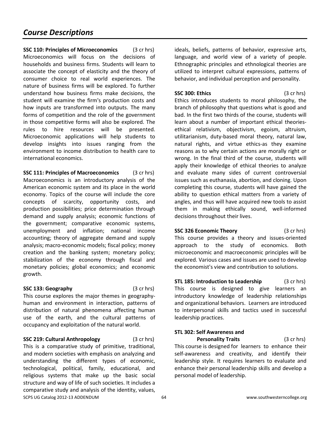**SSC 110: Principles of Microeconomics** (3 cr hrs) Microeconomics will focus on the decisions of households and business firms. Students will learn to associate the concept of elasticity and the theory of consumer choice to real world experiences. The nature of business firms will be explored. To further understand how business firms make decisions, the student will examine the firm's production costs and how inputs are transformed into outputs. The many forms of competition and the role of the government in those competitive forms will also be explored. The rules to hire resources will be presented. Microeconomic applications will help students to develop insights into issues ranging from the environment to income distribution to health care to international economics.

**SSC 111: Principles of Macroeconomics** (3 cr hrs) Macroeconomics is an introductory analysis of the American economic system and its place in the world economy. Topics of the course will include the core concepts of scarcity, opportunity costs, and production possibilities; price determination through demand and supply analysis; economic functions of the government; comparative economic systems, unemployment and inflation; national income accounting; theory of aggregate demand and supply analysis; macro-economic models; fiscal policy; money creation and the banking system; monetary policy; stabilization of the economy through fiscal and monetary policies; global economics; and economic growth.

#### **SSC 133: Geography** (3 cr hrs)

This course explores the major themes in geographyhuman and environment in interaction, patterns of distribution of natural phenomena affecting human use of the earth, and the cultural patterns of occupancy and exploitation of the natural world.

SCPS UG Catalog 2012-13 ADDENDUM 64 by the state of the state of the state of the state of the state of the state of the state of the state of the state of the state of the state of the state of the state of the state of t **SSC 219: Cultural Anthropology** (3 cr hrs) This is a comparative study of primitive, traditional, and modern societies with emphasis on analyzing and understanding the different types of economic, technological, political, family, educational, and religious systems that make up the basic social structure and way of life of such societies. It includes a comparative study and analysis of the identity, values,

ideals, beliefs, patterns of behavior, expressive arts, language, and world view of a variety of people. Ethnographic principles and ethnological theories are utilized to interpret cultural expressions, patterns of behavior, and individual perception and personality.

**SSC 300: Ethics** (3 cr hrs) Ethics introduces students to moral philosophy, the branch of philosophy that questions what is good and bad. In the first two thirds of the course, students will learn about a number of important ethical theoriesethical relativism, objectivism, egoism, altruism, utilitarianism, duty-based moral theory, natural law, natural rights, and virtue ethics-as they examine reasons as to why certain actions are morally right or wrong. In the final third of the course, students will apply their knowledge of ethical theories to analyze and evaluate many sides of current controversial issues such as euthanasia, abortion, and cloning. Upon completing this course, students will have gained the ability to question ethical matters from a variety of angles, and thus will have acquired new tools to assist them in making ethically sound, well-informed decisions throughout their lives.

**SSC 326 Economic Theory** (3 cr hrs) This course provides a theory and issues-oriented approach to the study of economics. Both microeconomic and macroeconomic principles will be explored. Various cases and issues are used to develop the economist's view and contribution to solutions.

**STL 185: Introduction to Leadership** (3 cr hrs) This course is designed to give learners an introductory knowledge of leadership relationships and organizational behaviors. Learners are introduced to interpersonal skills and tactics used in successful leadership practices.

## **STL 302: Self Awareness and**

**Personality Traits** (3 cr hrs) This course is designed for learners to enhance their self-awareness and creativity, and identify their leadership style. It requires learners to evaluate and enhance their personal leadership skills and develop a personal model of leadership.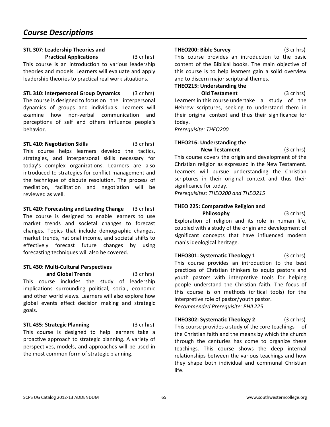#### **STL 307: Leadership Theories and**

**Practical Applications** (3 cr hrs) This course is an introduction to various leadership theories and models. Learners will evaluate and apply leadership theories to practical real work situations.

**STL 310: Interpersonal Group Dynamics** (3 cr hrs) The course is designed to focus on the interpersonal dynamics of groups and individuals. Learners will examine how non-verbal communication and perceptions of self and others influence people's behavior.

**STL 410: Negotiation Skills** (3 cr hrs) This course helps learners develop the tactics, strategies, and interpersonal skills necessary for today's complex organizations. Learners are also introduced to strategies for conflict management and the technique of dispute resolution. The process of mediation, facilitation and negotiation will be reviewed as well.

**STL 420: Forecasting and Leading Change** (3 cr hrs) The course is designed to enable learners to use market trends and societal changes to forecast changes. Topics that include demographic changes, market trends, national income, and societal shifts to effectively forecast future changes by using forecasting techniques will also be covered.

## **STL 430: Multi-Cultural Perspectives**

 **and Global Trends** (3 cr hrs) This course includes the study of leadership implications surrounding political, social, economic and other world views. Learners will also explore how global events effect decision making and strategic goals.

#### **STL 435: Strategic Planning** (3 cr hrs)

This course is designed to help learners take a proactive approach to strategic planning. A variety of perspectives, models, and approaches will be used in the most common form of strategic planning.

#### **THEO200: Bible Survey** (3 cr hrs)

This course provides an introduction to the basic content of the Biblical books. The main objective of this course is to help learners gain a solid overview and to discern major scriptural themes.

#### **THEO215: Understanding the**

**Old Testament** (3 cr hrs) Learners in this course undertake a study of the Hebrew scriptures, seeking to understand them in their original context and thus their significance for today.

*Prerequisite: THEO200* 

## **THEO216: Understanding the**

**New Testament** (3 cr hrs) This course covers the origin and development of the Christian religion as expressed in the New Testament. Learners will pursue understanding the Christian scriptures in their original context and thus their significance for today.

*Prerequisites: THEO200 and THEO215* 

## **THEO 225: Comparative Religion and**

**Philosophy** (3 cr hrs) Exploration of religion and its role in human life, coupled with a study of the origin and development of significant concepts that have influenced modern man's ideological heritage.

**THEO301: Systematic Theology 1** (3 cr hrs) This course provides an introduction to the best practices of Christian thinkers to equip pastors and youth pastors with interpretive tools for helping people understand the Christian faith. The focus of this course is on methods (critical tools) for the interpretive role of pastor/youth pastor. *Recommended Prerequisite: PHIL225*

**THEO302: Systematic Theology 2** (3 cr hrs) This course provides a study of the core teachings of the Christian faith and the means by which the church through the centuries has come to organize these teachings. This course shows the deep internal relationships between the various teachings and how they shape both individual and communal Christian life.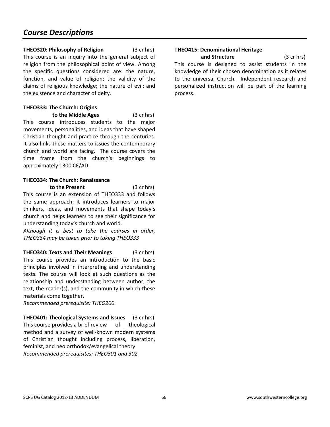#### **THEO320: Philosophy of Religion** (3 cr hrs)

This course is an inquiry into the general subject of religion from the philosophical point of view. Among the specific questions considered are: the nature, function, and value of religion; the validity of the claims of religious knowledge; the nature of evil; and the existence and character of deity.

#### **THEO333: The Church: Origins**

**to the Middle Ages** (3 cr hrs) This course introduces students to the major movements, personalities, and ideas that have shaped Christian thought and practice through the centuries. It also links these matters to issues the contemporary church and world are facing. The course covers the time frame from the church's beginnings to approximately 1300 CE/AD.

#### **THEO334: The Church: Renaissance to the Present** (3 cr hrs)

This course is an extension of THEO333 and follows the same approach; it introduces learners to major thinkers, ideas, and movements that shape today's church and helps learners to see their significance for understanding today's church and world.

*Although it is best to take the courses in order, THEO334 may be taken prior to taking THEO333*

**THEO340: Texts and Their Meanings** (3 cr hrs) This course provides an introduction to the basic principles involved in interpreting and understanding texts. The course will look at such questions as the relationship and understanding between author, the text, the reader(s), and the community in which these materials come together.

*Recommended prerequisite: THEO200* 

**THEO401: Theological Systems and Issues** (3 cr hrs) This course provides a brief review of theological method and a survey of well-known modern systems of Christian thought including process, liberation, feminist, and neo orthodox/evangelical theory. *Recommended prerequisites: THEO301 and 302* 

## **THEO415: Denominational Heritage**

**and Structure** (3 cr hrs) This course is designed to assist students in the knowledge of their chosen denomination as it relates to the universal Church. Independent research and personalized instruction will be part of the learning process.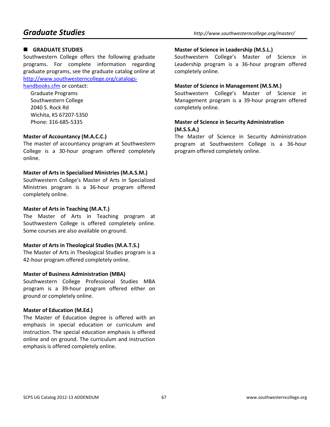## $\blacksquare$  GRADUATE STUDIES

Southwestern College offers the following graduate programs. For complete information regarding graduate programs, see the graduate catalog online at http://www.southwesterncollege.org/catalogs-

#### handbooks.cfm or contact:

Graduate Programs Southwestern College 2040 S. Rock Rd Wichita, KS 67207-5350 Phone: 316-685-5335

#### **Master of Accountancy (M.A.C.C.)**

The master of accountancy program at Southwestern College is a 30-hour program offered completely online.

#### **Master of Arts in Specialized Ministries (M.A.S.M.)**

Southwestern College's Master of Arts in Specialized Ministries program is a 36-hour program offered completely online.

#### **Master of Arts in Teaching (M.A.T.)**

The Master of Arts in Teaching program at Southwestern College is offered completely online. Some courses are also available on ground.

#### **Master of Arts in Theological Studies (M.A.T.S.)**

The Master of Arts in Theological Studies program is a 42-hour program offered completely online.

#### **Master of Business Administration (MBA)**

Southwestern College Professional Studies MBA program is a 39-hour program offered either on ground or completely online.

#### **Master of Education (M.Ed.)**

The Master of Education degree is offered with an emphasis in special education or curriculum and instruction. The special education emphasis is offered online and on ground. The curriculum and instruction emphasis is offered completely online.

#### **Master of Science in Leadership (M.S.L.)**

Southwestern College's Master of Science in Leadership program is a 36-hour program offered completely online.

#### **Master of Science in Management (M.S.M.)**

Southwestern College's Master of Science in Management program is a 39-hour program offered completely online.

#### **Master of Science in Security Administration (M.S.S.A.)**

The Master of Science in Security Administration program at Southwestern College is a 36-hour program offered completely online.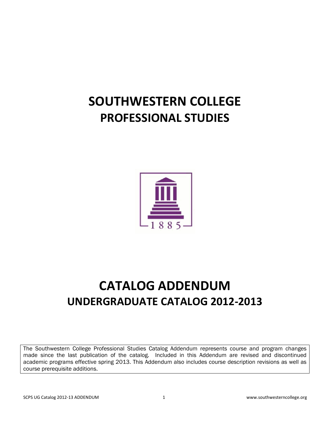# **SOUTHWESTERN COLLEGE PROFESSIONAL STUDIES**



# **CATALOG ADDENDUM UNDERGRADUATE CATALOG 2012-2013**

The Southwestern College Professional Studies Catalog Addendum represents course and program changes made since the last publication of the catalog. Included in this Addendum are revised and discontinued academic programs effective spring 2013. This Addendum also includes course description revisions as well as course prerequisite additions.

I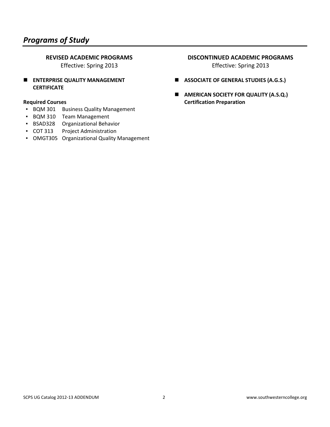## *Programs of Study*

#### **REVISED ACADEMIC PROGRAMS**

Effective: Spring 2013

**ENTERPRISE QUALITY MANAGEMENT CERTIFICATE** 

#### **Required Courses**

- BQM 301 Business Quality Management
- BQM 310 Team Management
- BSAD328 Organizational Behavior
- COT 313 Project Administration
- **OMGT305 Organizational Quality Management**

#### **DISCONTINUED ACADEMIC PROGRAMS**

Effective: Spring 2013

- **ASSOCIATE OF GENERAL STUDIES (A.G.S.)**
- **E** AMERICAN SOCIETY FOR QUALITY (A.S.Q.) **Certification Preparation**